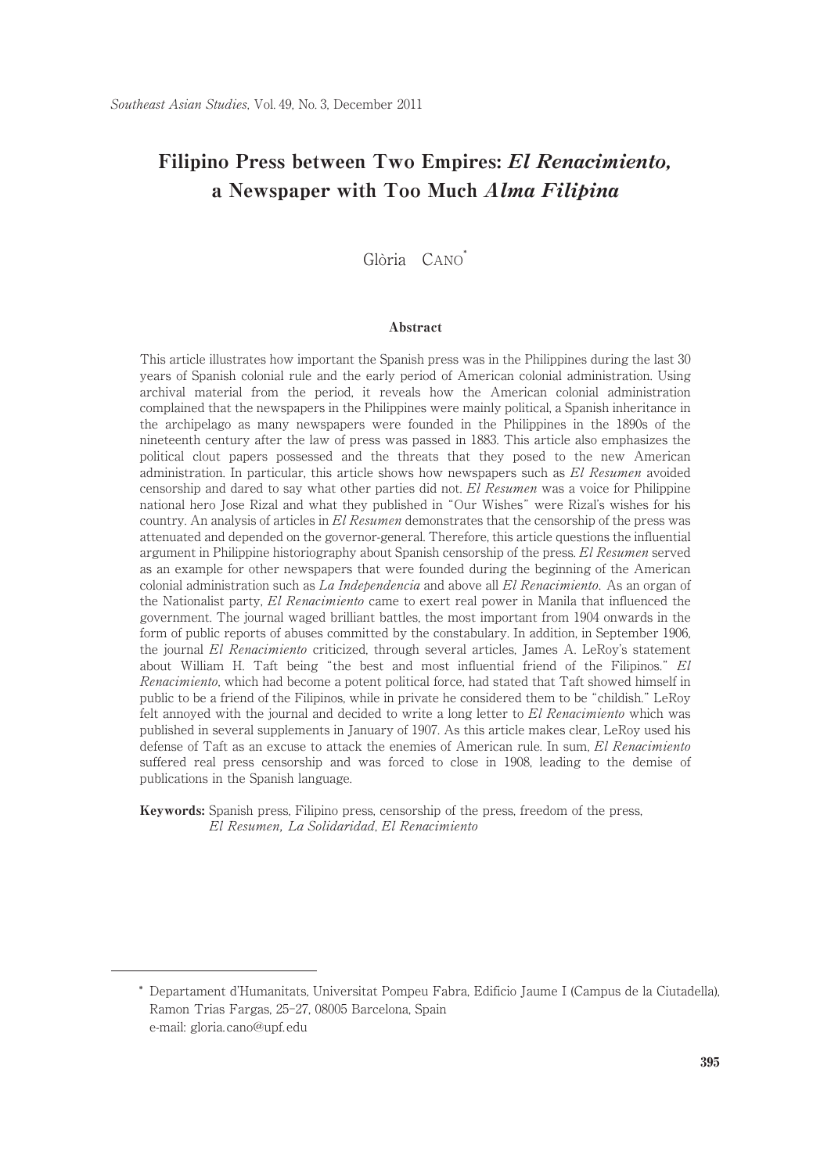# Filipino Press between Two Empires: El Renacimiento, a Newspaper with Too Much Alma Filipina

# Glòria CANO<sup>\*</sup>

#### Abstract

This article illustrates how important the Spanish press was in the Philippines during the last 30 years of Spanish colonial rule and the early period of American colonial administration. Using archival material from the period, it reveals how the American colonial administration complained that the newspapers in the Philippines were mainly political, a Spanish inheritance in the archipelago as many newspapers were founded in the Philippines in the 1890s of the nineteenth century after the law of press was passed in 1883. This article also emphasizes the political clout papers possessed and the threats that they posed to the new American administration. In particular, this article shows how newspapers such as El Resumen avoided censorship and dared to say what other parties did not. El Resumen was a voice for Philippine national hero Jose Rizal and what they published in "Our Wishes" were Rizal's wishes for his country. An analysis of articles in El Resumen demonstrates that the censorship of the press was attenuated and depended on the governor-general. Therefore, this article questions the influential argument in Philippine historiography about Spanish censorship of the press. El Resumen served as an example for other newspapers that were founded during the beginning of the American colonial administration such as  $La Independencia$  and above all  $El Renacimiento$ . As an organ of the Nationalist party, El Renacimiento came to exert real power in Manila that influenced the government. The journal waged brilliant battles, the most important from 1904 onwards in the form of public reports of abuses committed by the constabulary. In addition, in September 1906, the journal El Renacimiento criticized, through several articles, James A. LeRoy's statement about William H. Taft being "the best and most influential friend of the Filipinos." El Renacimiento, which had become a potent political force, had stated that Taft showed himself in public to be a friend of the Filipinos, while in private he considered them to be "childish." LeRoy felt annoyed with the journal and decided to write a long letter to El Renacimiento which was published in several supplements in January of 1907. As this article makes clear, LeRoy used his defense of Taft as an excuse to attack the enemies of American rule. In sum, El Renacimiento suffered real press censorship and was forced to close in 1908, leading to the demise of publications in the Spanish language.

Keywords: Spanish press, Filipino press, censorship of the press, freedom of the press, El Resumen, La Solidaridad, El Renacimiento

<sup>\*</sup> Departament d'Humanitats, Universitat Pompeu Fabra, Edificio Jaume I (Campus de la Ciutadella), Ramon Trias Fargas, 25-27, 08005 Barcelona, Spain e-mail: gloria. cano@upf. edu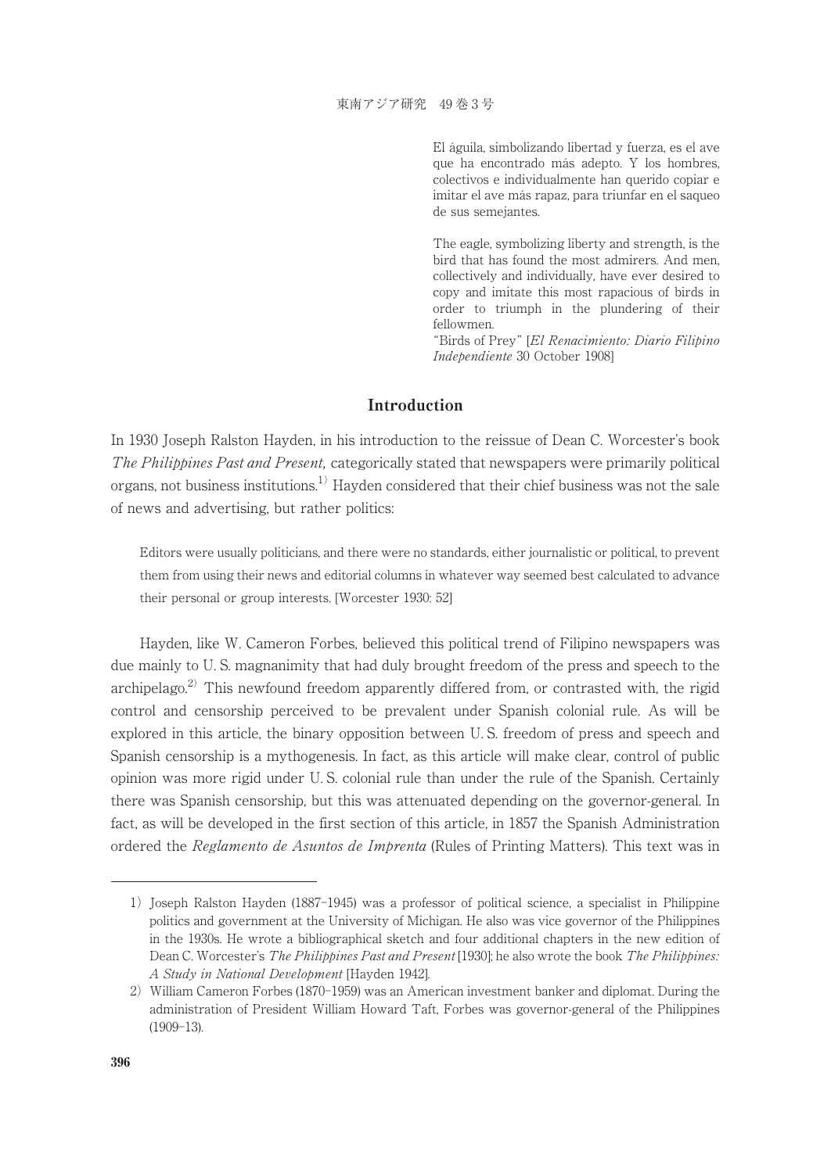El águila, simbolizando libertad y fuerza, es el ave que ha encontrado más adepto. Y los hombres, colectivos e individualmente han querido copiar e imitar el ave más rapaz, para triunfar en el saqueo de sus semejantes.

The eagle, symbolizing liberty and strength, is the bird that has found the most admirers. And men, collectively and individually, have ever desired to copy and imitate this most rapacious of birds in order to triumph in the plundering of their fellowmen.

"Birds of Prey" [El Renacimiento: Diario Filipino Independiente 30 October 1908]

# Introduction

In 1930 Joseph Ralston Hayden, in his introduction to the reissue of Dean C. Worcester's book The Philippines Past and Present, categorically stated that newspapers were primarily political organs, not business institutions.<sup>1)</sup> Hayden considered that their chief business was not the sale of news and advertising, but rather politics:

Editors were usually politicians, and there were no standards, either journalistic or political, to prevent them from using their news and editorial columns in whatever way seemed best calculated to advance their personal or group interests. [Worcester 1930: 52]

Hayden, like W. Cameron Forbes, believed this political trend of Filipino newspapers was due mainly to U. S. magnanimity that had duly brought freedom of the press and speech to the archipelago.<sup>2)</sup> This newfound freedom apparently differed from, or contrasted with, the rigid control and censorship perceived to be prevalent under Spanish colonial rule. As will be explored in this article, the binary opposition between U. S. freedom of press and speech and Spanish censorship is a mythogenesis. In fact, as this article will make clear, control of public opinion was more rigid under U. S. colonial rule than under the rule of the Spanish. Certainly there was Spanish censorship, but this was attenuated depending on the governor-general. In fact, as will be developed in the first section of this article, in 1857 the Spanish Administration ordered the Reglamento de Asuntos de Imprenta (Rules of Printing Matters). This text was in

<sup>1)</sup> Joseph Ralston Hayden (1887-1945) was a professor of political science, a specialist in Philippine politics and government at the University of Michigan. He also was vice governor of the Philippines in the 1930s. He wrote a bibliographical sketch and four additional chapters in the new edition of Dean C. Worcester's The Philippines Past and Present [1930]; he also wrote the book The Philippines: A Study in National Development [Hayden 1942].

<sup>2)</sup> William Cameron Forbes (1870-1959) was an American investment banker and diplomat. During the administration of President William Howard Taft, Forbes was governor-general of the Philippines (1909-13).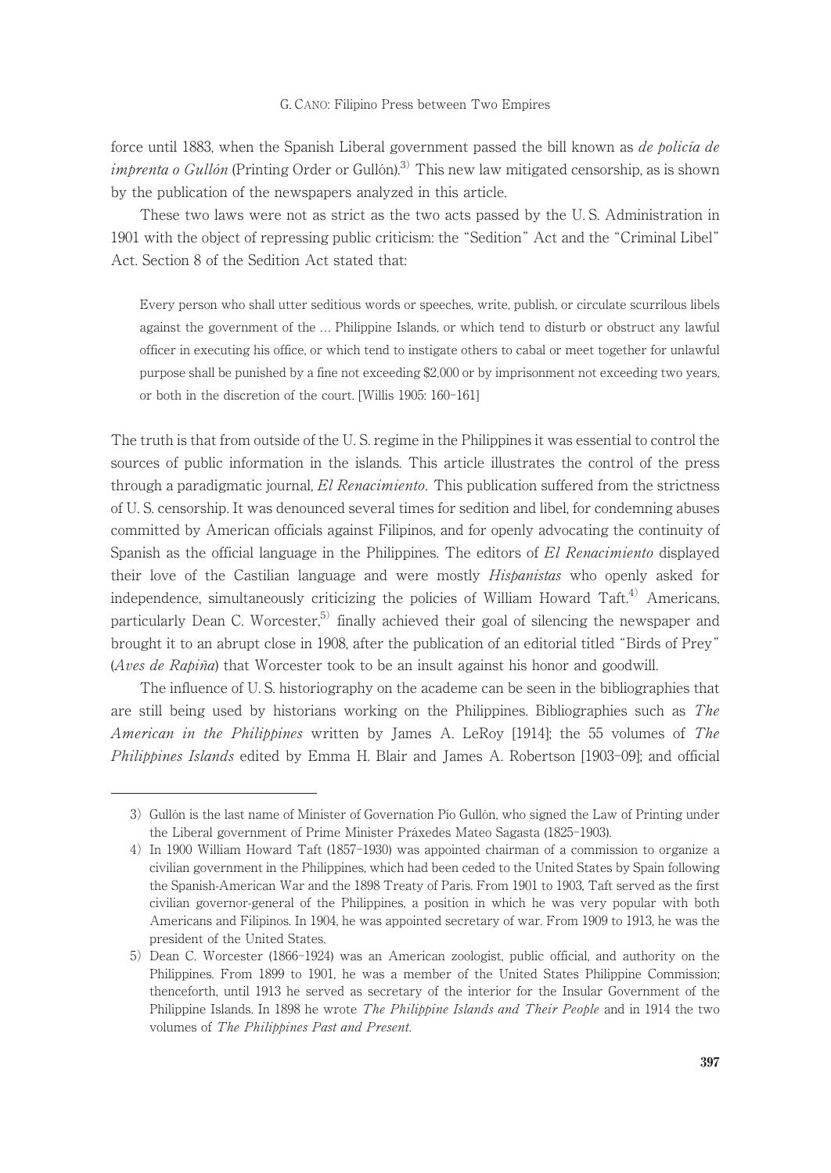force until 1883, when the Spanish Liberal government passed the bill known as *de policía de imbrenta o Gullón* (Printing Order or Gullón).<sup>3)</sup> This new law mitigated censorship, as is shown by the publication of the newspapers analyzed in this article.

These two laws were not as strict as the two acts passed by the U. S. Administration in 1901 with the object of repressing public criticism: the "Sedition" Act and the "Criminal Libel" Act. Section 8 of the Sedition Act stated that:

Every person who shall utter seditious words or speeches, write, publish, or circulate scurrilous libels against the government of the ... Philippine Islands, or which tend to disturb or obstruct any lawful officer in executing his office, or which tend to instigate others to cabal or meet together for unlawful purpose shall be punished by a fine not exceeding \$2,000 or by imprisonment not exceeding two years, or both in the discretion of the court. [Willis 1905: 160-161]

The truth is that from outside of the U. S. regime in the Philippines it was essential to control the sources of public information in the islands. This article illustrates the control of the press through a paradigmatic journal, El Renacimiento. This publication suffered from the strictness of U. S. censorship. It was denounced several times for sedition and libel, for condemning abuses committed by American officials against Filipinos, and for openly advocating the continuity of Spanish as the official language in the Philippines. The editors of El Renacimiento displayed their love of the Castilian language and were mostly *Hispanistas* who openly asked for independence, simultaneously criticizing the policies of William Howard Taft.<sup>4)</sup> Americans, particularly Dean C. Worcester,<sup>5)</sup> finally achieved their goal of silencing the newspaper and brought it to an abrupt close in 1908, after the publication of an editorial titled "Birds of Prey" (Aves de Rapiña) that Worcester took to be an insult against his honor and goodwill.

The influence of U. S. historiography on the academe can be seen in the bibliographies that are still being used by historians working on the Philippines. Bibliographies such as The American in the Philippines written by James A. LeRoy [1914]; the 55 volumes of The Philippines Islands edited by Emma H. Blair and James A. Robertson [1903-09]; and official

<sup>3)</sup> Gullón is the last name of Minister of Governation Pío Gullón, who signed the Law of Printing under the Liberal government of Prime Minister Práxedes Mateo Sagasta (1825-1903).

<sup>4)</sup> In 1900 William Howard Taft (1857-1930) was appointed chairman of a commission to organize a civilian government in the Philippines, which had been ceded to the United States by Spain following the Spanish-American War and the 1898 Treaty of Paris. From 1901 to 1903, Taft served as the first civilian governor-general of the Philippines, a position in which he was very popular with both Americans and Filipinos. In 1904, he was appointed secretary of war. From 1909 to 1913, he was the president of the United States.

<sup>5)</sup> Dean C. Worcester (1866-1924) was an American zoologist, public official, and authority on the Philippines. From 1899 to 1901, he was a member of the United States Philippine Commission; thenceforth, until 1913 he served as secretary of the interior for the Insular Government of the Philippine Islands. In 1898 he wrote *The Philippine Islands and Their People* and in 1914 the two volumes of The Philippines Past and Present.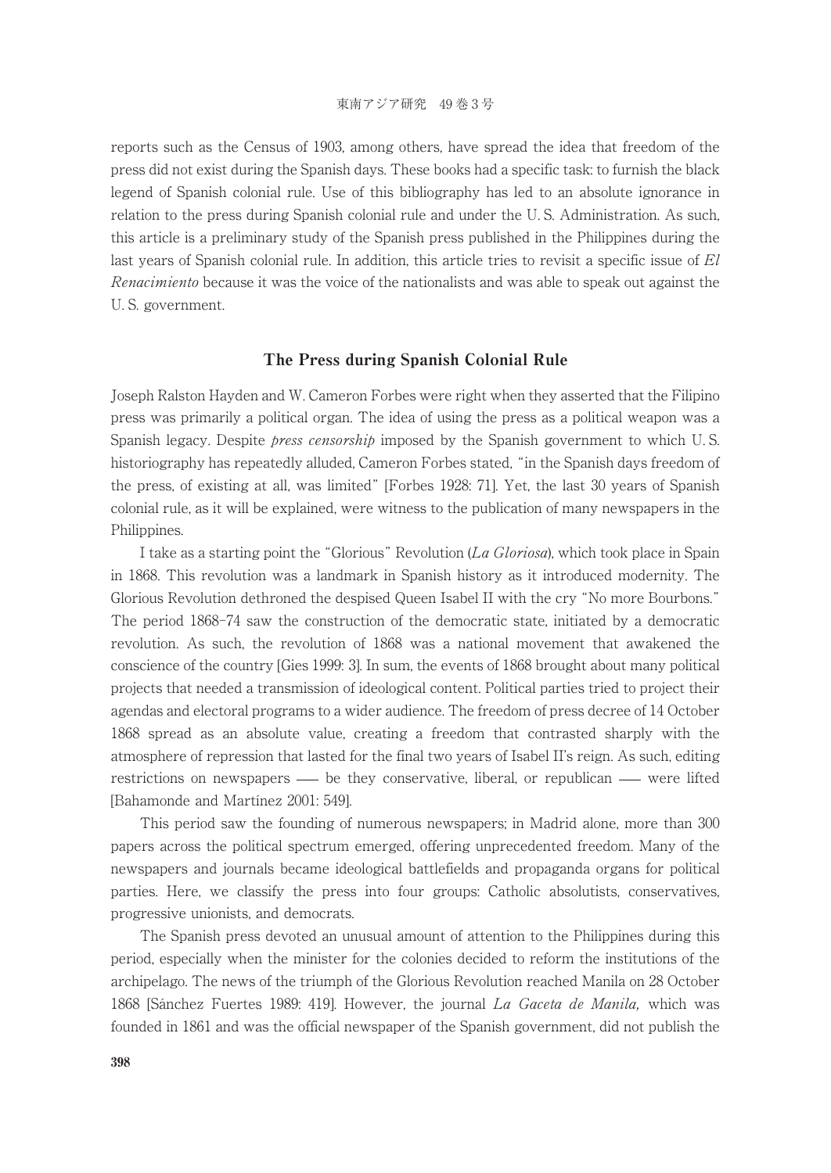reports such as the Census of 1903, among others, have spread the idea that freedom of the press did not exist during the Spanish days. These books had a specific task: to furnish the black legend of Spanish colonial rule. Use of this bibliography has led to an absolute ignorance in relation to the press during Spanish colonial rule and under the U. S. Administration. As such, this article is a preliminary study of the Spanish press published in the Philippines during the last years of Spanish colonial rule. In addition, this article tries to revisit a specific issue of El Renacimiento because it was the voice of the nationalists and was able to speak out against the U. S. government.

## The Press during Spanish Colonial Rule

Joseph Ralston Hayden and W. Cameron Forbes were right when they asserted that the Filipino press was primarily a political organ. The idea of using the press as a political weapon was a Spanish legacy. Despite *press censorship* imposed by the Spanish government to which U.S. historiography has repeatedly alluded, Cameron Forbes stated, "in the Spanish days freedom of the press, of existing at all, was limited" [Forbes 1928: 71]. Yet, the last 30 years of Spanish colonial rule, as it will be explained, were witness to the publication of many newspapers in the Philippines.

I take as a starting point the "Glorious" Revolution (La Gloriosa), which took place in Spain in 1868. This revolution was a landmark in Spanish history as it introduced modernity. The Glorious Revolution dethroned the despised Queen Isabel II with the cry "No more Bourbons." The period 1868-74 saw the construction of the democratic state, initiated by a democratic revolution. As such, the revolution of 1868 was a national movement that awakened the conscience of the country [Gies 1999: 3]. In sum, the events of 1868 brought about many political projects that needed a transmission of ideological content. Political parties tried to project their agendas and electoral programs to a wider audience. The freedom of press decree of 14 October 1868 spread as an absolute value, creating a freedom that contrasted sharply with the atmosphere of repression that lasted for the final two years of Isabel II's reign. As such, editing restrictions on newspapers — be they conservative, liberal, or republican — were lifted [Bahamonde and Martínez 2001: 549].

This period saw the founding of numerous newspapers; in Madrid alone, more than 300 papers across the political spectrum emerged, offering unprecedented freedom. Many of the newspapers and journals became ideological battlefields and propaganda organs for political parties. Here, we classify the press into four groups: Catholic absolutists, conservatives, progressive unionists, and democrats.

The Spanish press devoted an unusual amount of attention to the Philippines during this period, especially when the minister for the colonies decided to reform the institutions of the archipelago. The news of the triumph of the Glorious Revolution reached Manila on 28 October 1868 [Sánchez Fuertes 1989: 419]. However, the journal La Gaceta de Manila, which was founded in 1861 and was the official newspaper of the Spanish government, did not publish the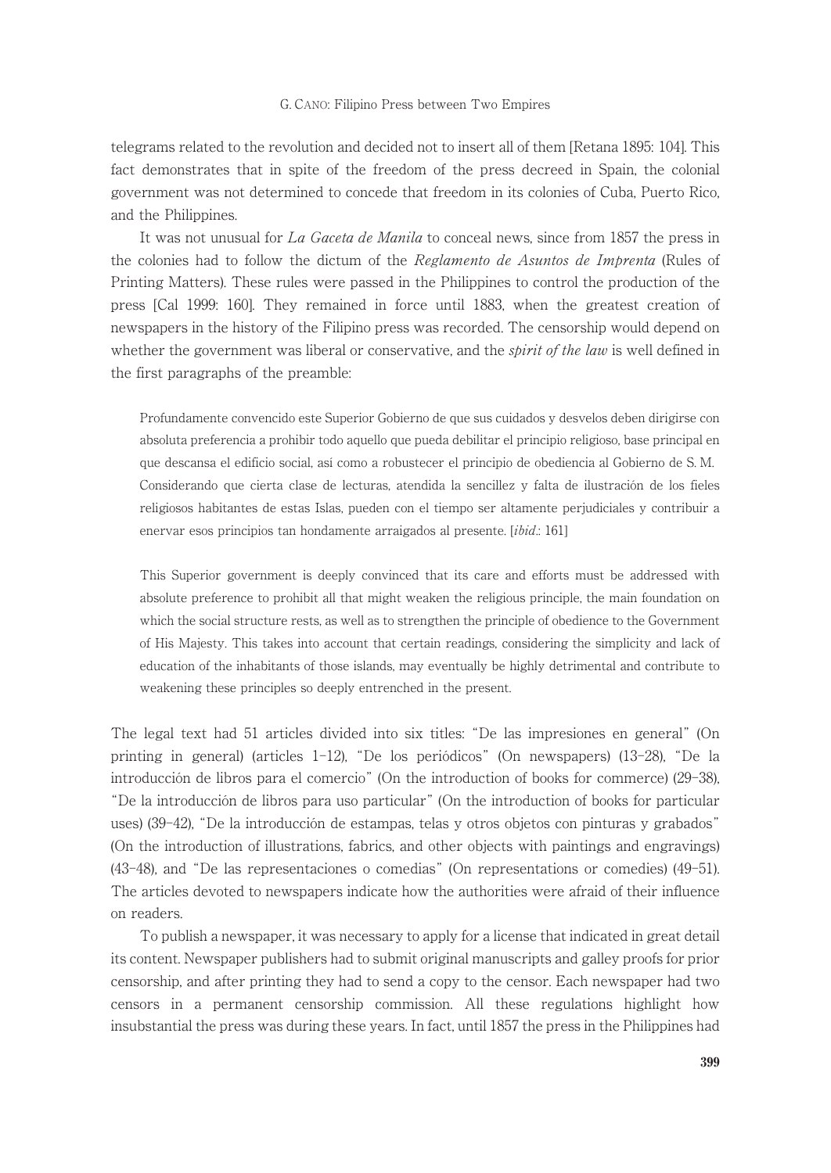telegrams related to the revolution and decided not to insert all of them [Retana 1895: 104]. This fact demonstrates that in spite of the freedom of the press decreed in Spain, the colonial government was not determined to concede that freedom in its colonies of Cuba, Puerto Rico, and the Philippines.

It was not unusual for La Gaceta de Manila to conceal news, since from 1857 the press in the colonies had to follow the dictum of the *Reglamento de Asuntos de Imprenta* (Rules of Printing Matters). These rules were passed in the Philippines to control the production of the press [Cal 1999: 160]. They remained in force until 1883, when the greatest creation of newspapers in the history of the Filipino press was recorded. The censorship would depend on whether the government was liberal or conservative, and the *spirit of the law* is well defined in the first paragraphs of the preamble:

Profundamente convencido este Superior Gobierno de que sus cuidados y desvelos deben dirigirse con absoluta preferencia a prohibir todo aquello que pueda debilitar el principio religioso, base principal en que descansa el edificio social, así como a robustecer el principio de obediencia al Gobierno de S. M. Considerando que cierta clase de lecturas, atendida la sencillez y falta de ilustración de los fieles religiosos habitantes de estas Islas, pueden con el tiempo ser altamente perjudiciales y contribuir a enervar esos principios tan hondamente arraigados al presente. [*ibid.*: 161]

This Superior government is deeply convinced that its care and efforts must be addressed with absolute preference to prohibit all that might weaken the religious principle, the main foundation on which the social structure rests, as well as to strengthen the principle of obedience to the Government of His Majesty. This takes into account that certain readings, considering the simplicity and lack of education of the inhabitants of those islands, may eventually be highly detrimental and contribute to weakening these principles so deeply entrenched in the present.

The legal text had 51 articles divided into six titles: "De las impresiones en general" (On printing in general) (articles 1-12), "De los periódicos" (On newspapers) (13-28), "De la introducción de libros para el comercio" (On the introduction of books for commerce) (29-38), "De la introducción de libros para uso particular" (On the introduction of books for particular uses) (39-42), "De la introducción de estampas, telas y otros objetos con pinturas y grabados" (On the introduction of illustrations, fabrics, and other objects with paintings and engravings) (43-48), and "De las representaciones o comedias" (On representations or comedies) (49-51). The articles devoted to newspapers indicate how the authorities were afraid of their influence on readers.

To publish a newspaper, it was necessary to apply for a license that indicated in great detail its content. Newspaper publishers had to submit original manuscripts and galley proofs for prior censorship, and after printing they had to send a copy to the censor. Each newspaper had two censors in a permanent censorship commission. All these regulations highlight how insubstantial the press was during these years. In fact, until 1857 the press in the Philippines had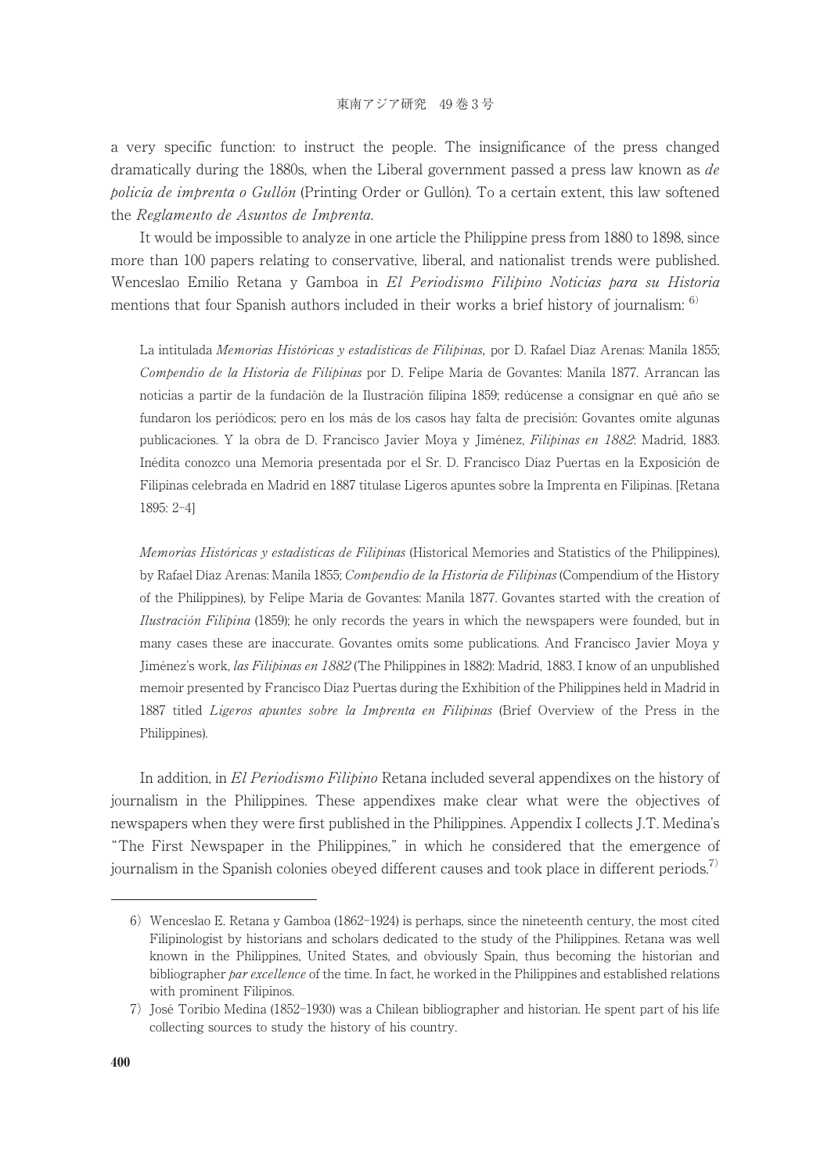a very specific function: to instruct the people. The insignificance of the press changed dramatically during the 1880s, when the Liberal government passed a press law known as de policía de imprenta o Gullón (Printing Order or Gullón). To a certain extent, this law softened the Reglamento de Asuntos de Imprenta.

It would be impossible to analyze in one article the Philippine press from 1880 to 1898, since more than 100 papers relating to conservative, liberal, and nationalist trends were published. Wenceslao Emilio Retana y Gamboa in El Periodismo Filipino Noticias para su Historia mentions that four Spanish authors included in their works a brief history of journalism:  $\frac{6}{2}$ 

La intitulada Memorias Históricas y estadísticas de Filipinas, por D. Rafael Díaz Arenas: Manila 1855; Compendio de la Historia de Filipinas por D. Felipe María de Govantes: Manila 1877. Arrancan las noticias a partir de la fundación de la Ilustración filipina 1859; redúcense a consignar en qué año se fundaron los periódicos; pero en los más de los casos hay falta de precisión: Govantes omite algunas publicaciones. Y la obra de D. Francisco Javier Moya y Jiménez, Filipinas en 1882: Madrid, 1883. Inédita conozco una Memoria presentada por el Sr. D. Francisco Díaz Puertas en la Exposición de Filipinas celebrada en Madrid en 1887 titulase Ligeros apuntes sobre la Imprenta en Filipinas. [Retana 1895: 2-4]

Memorias Históricas y estadísticas de Filipinas (Historical Memories and Statistics of the Philippines), by Rafael Díaz Arenas: Manila 1855; Compendio de la Historia de Filipinas (Compendium of the History of the Philippines), by Felipe María de Govantes: Manila 1877. Govantes started with the creation of Ilustración Filipina (1859); he only records the years in which the newspapers were founded, but in many cases these are inaccurate. Govantes omits some publications. And Francisco Javier Moya y Jiménez's work, las Filipinas en 1882 (The Philippines in 1882): Madrid, 1883. I know of an unpublished memoir presented by Francisco Díaz Puertas during the Exhibition of the Philippines held in Madrid in 1887 titled Ligeros apuntes sobre la Imprenta en Filipinas (Brief Overview of the Press in the Philippines).

In addition, in El Periodismo Filipino Retana included several appendixes on the history of journalism in the Philippines. These appendixes make clear what were the objectives of newspapers when they were first published in the Philippines. Appendix I collects J.T. Medina's "The First Newspaper in the Philippines," in which he considered that the emergence of journalism in the Spanish colonies obeyed different causes and took place in different periods.<sup>7)</sup>

<sup>6)</sup> Wenceslao E. Retana y Gamboa (1862-1924) is perhaps, since the nineteenth century, the most cited Filipinologist by historians and scholars dedicated to the study of the Philippines. Retana was well known in the Philippines, United States, and obviously Spain, thus becoming the historian and bibliographer par excellence of the time. In fact, he worked in the Philippines and established relations with prominent Filipinos.

<sup>7)</sup> José Toribio Medina (1852-1930) was a Chilean bibliographer and historian. He spent part of his life collecting sources to study the history of his country.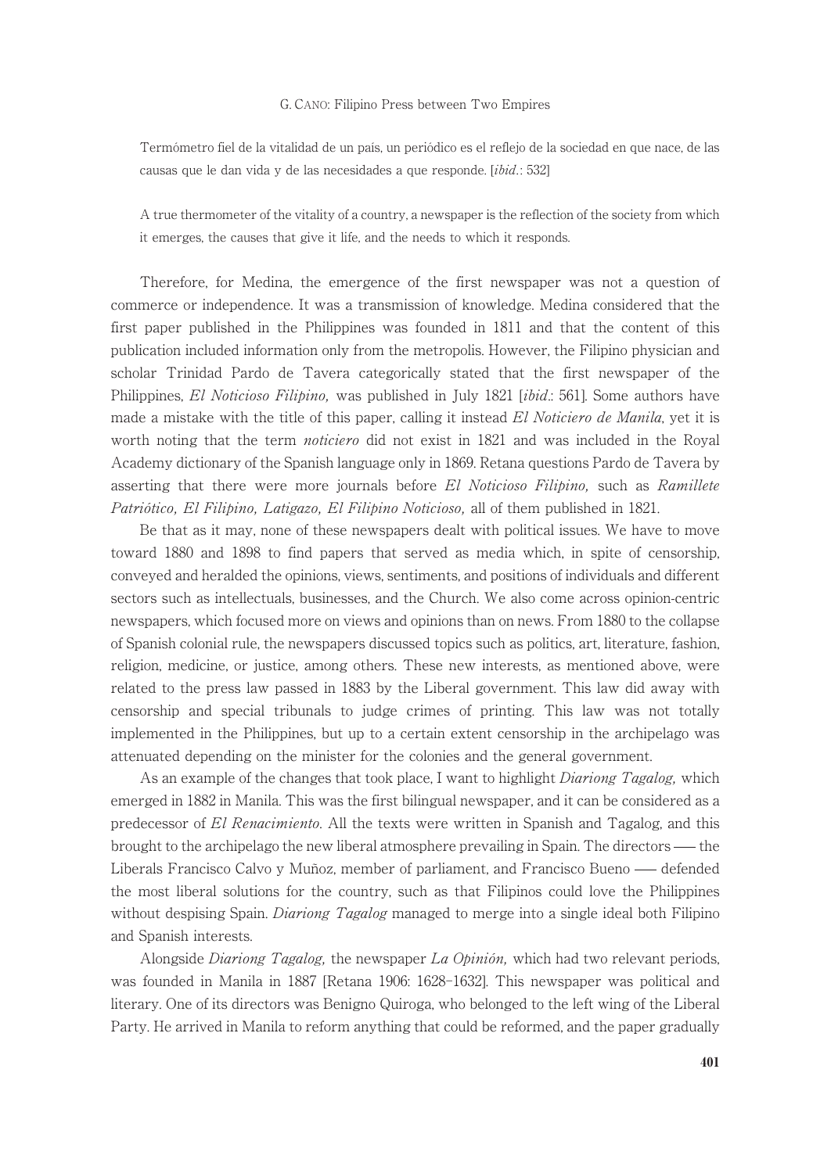Termómetro fiel de la vitalidad de un país, un periódico es el reflejo de la sociedad en que nace, de las causas que le dan vida y de las necesidades a que responde. [ibid.: 532]

Atrue thermometer of the vitality of a country, a newspaper is the reflection of the society from which it emerges, the causes that give it life, and the needs to which it responds.

Therefore, for Medina, the emergence of the first newspaper was not a question of commerce or independence. It was a transmission of knowledge. Medina considered that the first paper published in the Philippines was founded in 1811 and that the content of this publication included information only from the metropolis. However, the Filipino physician and scholar Trinidad Pardo de Tavera categorically stated that the first newspaper of the Philippines, El Noticioso Filipino, was published in July 1821 [ibid.: 561]. Some authors have made a mistake with the title of this paper, calling it instead El Noticiero de Manila, yet it is worth noting that the term *noticiero* did not exist in 1821 and was included in the Royal Academy dictionary of the Spanish language only in 1869. Retana questions Pardo de Tavera by asserting that there were more journals before El Noticioso Filipino, such as Ramillete Patriótico, El Filipino, Latigazo, El Filipino Noticioso, all of them published in 1821.

Be that as it may, none of these newspapers dealt with political issues. We have to move toward 1880 and 1898 to find papers that served as media which, in spite of censorship, conveyed and heralded the opinions, views, sentiments, and positions of individuals and different sectors such as intellectuals, businesses, and the Church. We also come across opinion-centric newspapers, which focused more on views and opinions than on news. From 1880 to the collapse of Spanish colonial rule, the newspapers discussed topics such as politics, art, literature, fashion, religion, medicine, or justice, among others. These new interests, as mentioned above, were related to the press law passed in 1883 by the Liberal government. This law did away with censorship and special tribunals to judge crimes of printing. This law was not totally implemented in the Philippines, but up to a certain extent censorship in the archipelago was attenuated depending on the minister for the colonies and the general government.

As an example of the changes that took place, I want to highlight *Diariong Tagalog*, which emerged in 1882 in Manila. This was the first bilingual newspaper, and it can be considered as a predecessor of El Renacimiento. All the texts were written in Spanish and Tagalog, and this brought to the archipelago the new liberal atmosphere prevailing in Spain. The directors — the Liberals Francisco Calvo y Muñoz, member of parliament, and Francisco Bueno — defended the most liberal solutions for the country, such as that Filipinos could love the Philippines without despising Spain. *Diariong Tagalog* managed to merge into a single ideal both Filipino and Spanish interests.

Alongside *Diariong Tagalog*, the newspaper La Opinión, which had two relevant periods, was founded in Manila in 1887 [Retana 1906: 1628-1632]. This newspaper was political and literary. One of its directors was Benigno Quiroga, who belonged to the left wing of the Liberal Party. He arrived in Manila to reform anything that could be reformed, and the paper gradually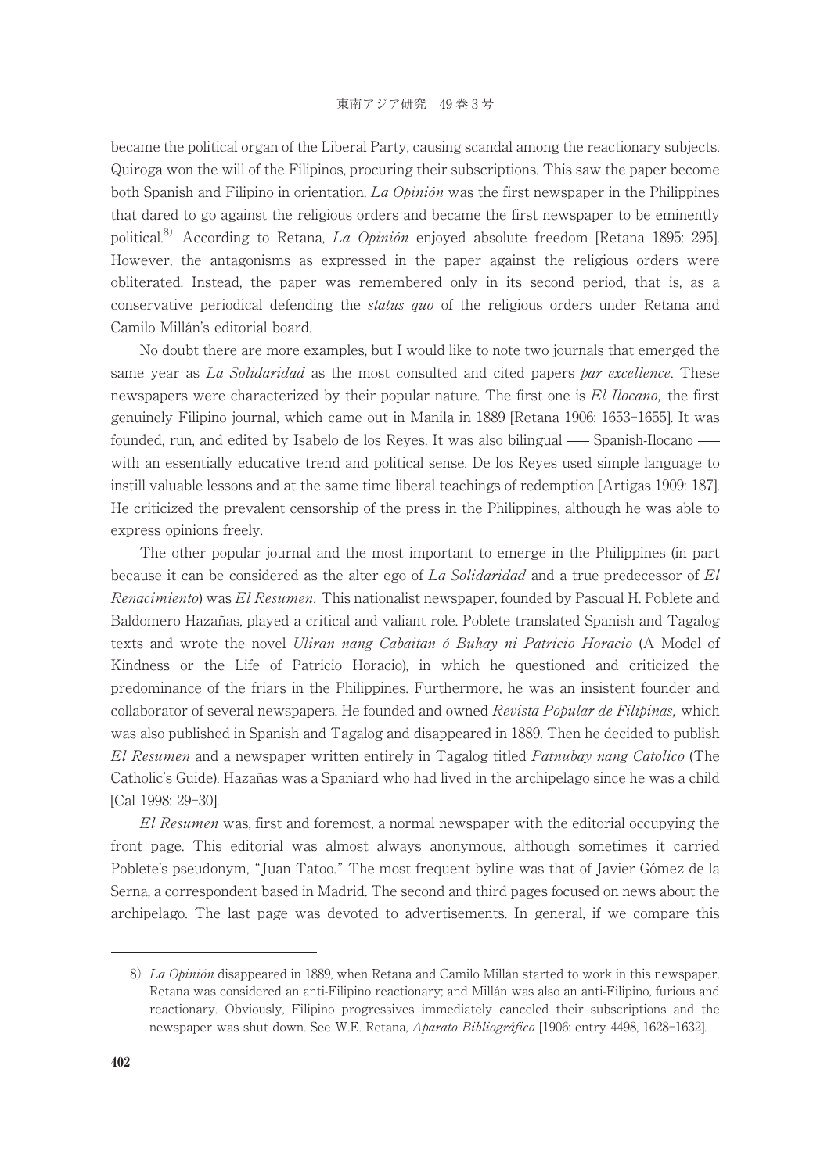became the political organ of the Liberal Party, causing scandal among the reactionary subjects. Quiroga won the will of the Filipinos, procuring their subscriptions. This saw the paper become both Spanish and Filipino in orientation. La Opinión was the first newspaper in the Philippines that dared to go against the religious orders and became the first newspaper to be eminently political.<sup>8)</sup> According to Retana, *La Opinión* enjoyed absolute freedom [Retana 1895: 295]. However, the antagonisms as expressed in the paper against the religious orders were obliterated. Instead, the paper was remembered only in its second period, that is, as a conservative periodical defending the *status quo* of the religious orders under Retana and Camilo Millán's editorial board.

No doubt there are more examples, but I would like to note two journals that emerged the same year as La Solidaridad as the most consulted and cited papers par excellence. These newspapers were characterized by their popular nature. The first one is El Ilocano, the first genuinely Filipino journal, which came out in Manila in 1889 [Retana 1906: 1653-1655]. It was founded, run, and edited by Isabelo de los Reyes. It was also bilingual — Spanish-Ilocano with an essentially educative trend and political sense. De los Reyes used simple language to instill valuable lessons and at the same time liberal teachings of redemption [Artigas 1909: 187]. He criticized the prevalent censorship of the press in the Philippines, although he was able to express opinions freely.

The other popular journal and the most important to emerge in the Philippines (in part because it can be considered as the alter ego of La Solidaridad and a true predecessor of El Renacimiento) was El Resumen. This nationalist newspaper, founded by Pascual H. Poblete and Baldomero Hazañas, played a critical and valiant role. Poblete translated Spanish and Tagalog texts and wrote the novel *Uliran nang Cabaitan ó Buhay ni Patricio Horacio* (A Model of Kindness or the Life of Patricio Horacio), in which he questioned and criticized the predominance of the friars in the Philippines. Furthermore, he was an insistent founder and collaborator of several newspapers. He founded and owned Revista Popular de Filipinas, which was also published in Spanish and Tagalog and disappeared in 1889. Then he decided to publish El Resumen and a newspaper written entirely in Tagalog titled *Patnubay nang Catolico* (The Catholic's Guide). Hazañas was a Spaniard who had lived in the archipelago since he was a child [Cal 1998: 29-30].

El Resumen was, first and foremost, a normal newspaper with the editorial occupying the front page. This editorial was almost always anonymous, although sometimes it carried Poblete's pseudonym, "Juan Tatoo." The most frequent byline was that of Javier Gómez de la Serna, a correspondent based in Madrid. The second and third pages focused on news about the archipelago. The last page was devoted to advertisements. In general, if we compare this

<sup>8)</sup> La Opinión disappeared in 1889, when Retana and Camilo Millán started to work in this newspaper. Retana was considered an anti-Filipino reactionary; and Millán was also an anti-Filipino, furious and reactionary. Obviously, Filipino progressives immediately canceled their subscriptions and the newspaper was shut down. See W.E. Retana, *Aparato Bibliográfico* [1906: entry 4498, 1628–1632].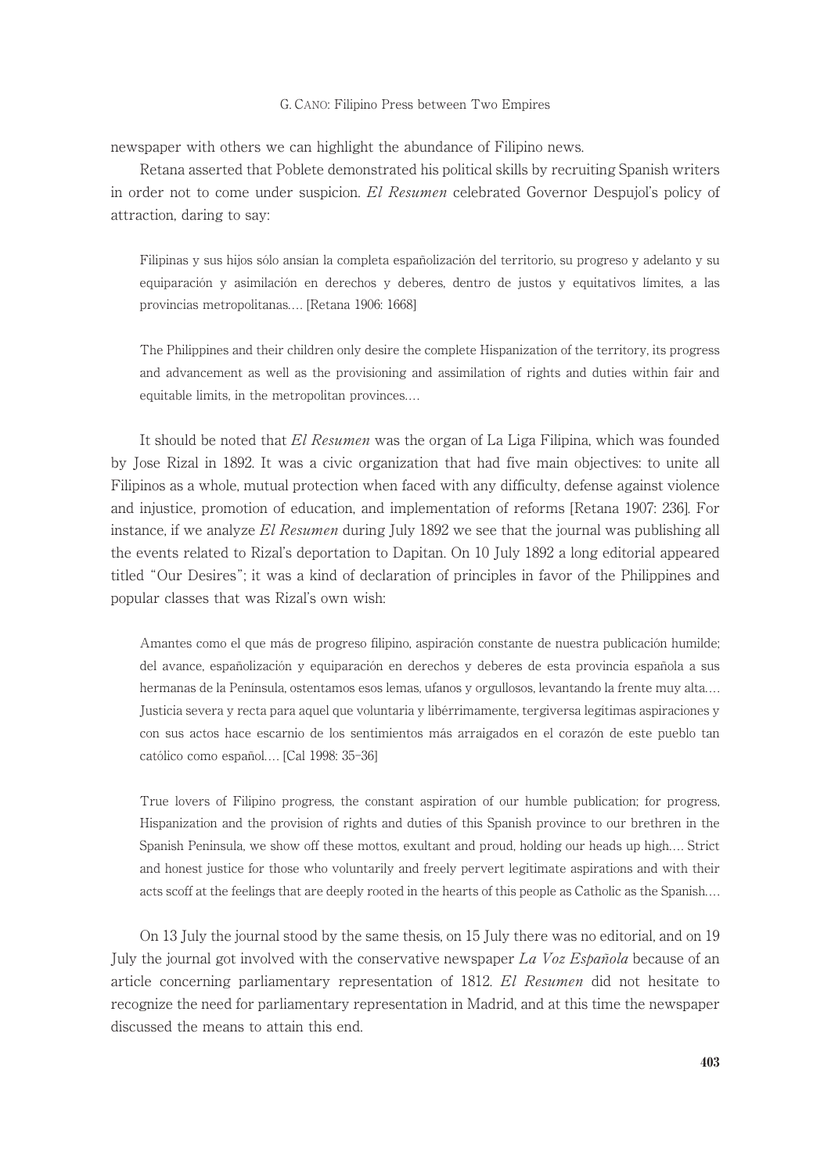newspaper with others we can highlight the abundance of Filipino news.

Retana asserted that Poblete demonstrated his political skills by recruiting Spanish writers in order not to come under suspicion. El Resumen celebrated Governor Despujol's policy of attraction, daring to say:

Filipinas y sus hijos sólo ansían la completa españolización del territorio, su progreso y adelanto y su equiparación y asimilación en derechos y deberes, dentro de justos y equitativos límites, a las provincias metropolitanas.... [Retana 1906: 1668]

The Philippines and their children only desire the complete Hispanization of the territory, its progress and advancement as well as the provisioning and assimilation of rights and duties within fair and equitable limits, in the metropolitan provinces....

It should be noted that El Resumen was the organ of La Liga Filipina, which was founded by Jose Rizal in 1892. It was a civic organization that had five main objectives: to unite all Filipinos as a whole, mutual protection when faced with any difficulty, defense against violence and injustice, promotion of education, and implementation of reforms [Retana 1907: 236]. For instance, if we analyze El Resumen during July 1892 we see that the journal was publishing all the events related to Rizal's deportation to Dapitan. On 10 July 1892 a long editorial appeared titled "Our Desires"; it was a kind of declaration of principles in favor of the Philippines and popular classes that was Rizal's own wish:

Amantes como el que más de progreso filipino, aspiración constante de nuestra publicación humilde; del avance, españolización y equiparación en derechos y deberes de esta provincia española a sus hermanas de la Península, ostentamos esos lemas, ufanos y orgullosos, levantando la frente muy alta.... Justicia severa y recta para aquel que voluntaria y libérrimamente, tergiversa legítimas aspiraciones y con sus actos hace escarnio de los sentimientos más arraigados en el corazón de este pueblo tan católico como español.... [Cal 1998: 35-36]

True lovers of Filipino progress, the constant aspiration of our humble publication; for progress, Hispanization and the provision of rights and duties of this Spanish province to our brethren in the Spanish Peninsula, we show off these mottos, exultant and proud, holding our heads up high.... Strict and honest justice for those who voluntarily and freely pervert legitimate aspirations and with their acts scoff at the feelings that are deeply rooted in the hearts of this people as Catholic as the Spanish....

On 13 July the journal stood by the same thesis, on 15 July there was no editorial, and on 19 July the journal got involved with the conservative newspaper La Voz Española because of an article concerning parliamentary representation of 1812. El Resumen did not hesitate to recognize the need for parliamentary representation in Madrid, and at this time the newspaper discussed the means to attain this end.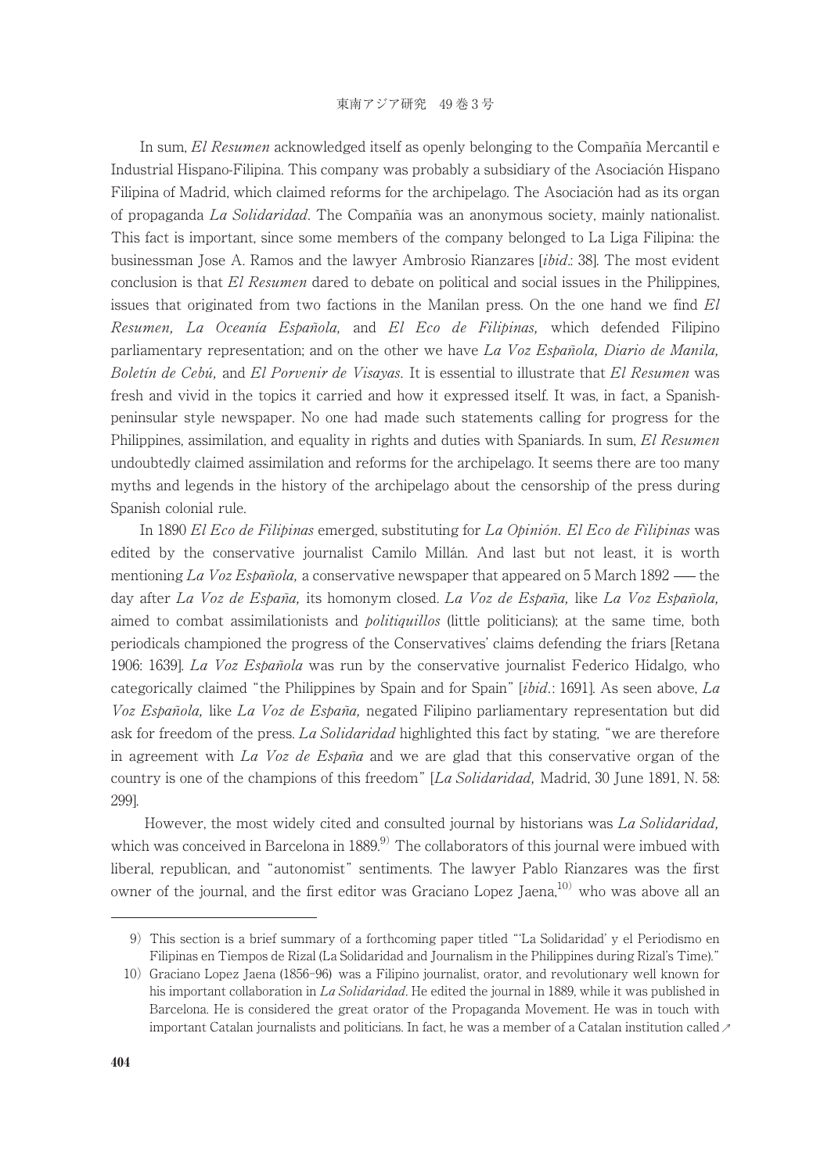In sum, El Resumen acknowledged itself as openly belonging to the Compañía Mercantil e Industrial Hispano-Filipina. This company was probably a subsidiary of the Asociación Hispano Filipina of Madrid, which claimed reforms for the archipelago. The Asociación had as its organ of propaganda La Solidaridad. The Compañía was an anonymous society, mainly nationalist. This fact is important, since some members of the company belonged to La Liga Filipina: the businessman Jose A. Ramos and the lawyer Ambrosio Rianzares [ibid.: 38]. The most evident conclusion is that El Resumen dared to debate on political and social issues in the Philippines, issues that originated from two factions in the Manilan press. On the one hand we find  $El$ Resumen, La Oceanía Española, and El Eco de Filipinas, which defended Filipino parliamentary representation; and on the other we have La Voz Española, Diario de Manila, Boletín de Cebú, and El Porvenir de Visayas. It is essential to illustrate that El Resumen was fresh and vivid in the topics it carried and how it expressed itself. It was, in fact, a Spanishpeninsular style newspaper. No one had made such statements calling for progress for the Philippines, assimilation, and equality in rights and duties with Spaniards. In sum, El Resumen undoubtedly claimed assimilation and reforms for the archipelago. It seems there are too many myths and legends in the history of the archipelago about the censorship of the press during Spanish colonial rule.

In 1890 El Eco de Filipinas emerged, substituting for La Opinión. El Eco de Filipinas was edited by the conservative journalist Camilo Millán. And last but not least, it is worth mentioning La Voz Española, a conservative newspaper that appeared on 5 March 1892 — the day after La Voz de España, its homonym closed. La Voz de España, like La Voz Española, aimed to combat assimilationists and *politiquillos* (little politicians); at the same time, both periodicals championed the progress of the Conservatives' claims defending the friars [Retana 1906: 1639]. La Voz Española was run by the conservative journalist Federico Hidalgo, who categorically claimed "the Philippines by Spain and for Spain"  $[ibid]$ : 1691]. As seen above, La Voz Española, like La Voz de España, negated Filipino parliamentary representation but did ask for freedom of the press. La Solidaridad highlighted this fact by stating, "we are therefore in agreement with La Voz de España and we are glad that this conservative organ of the country is one of the champions of this freedom" [La Solidaridad, Madrid, 30 June 1891, N. 58: 299].

However, the most widely cited and consulted journal by historians was La Solidaridad, which was conceived in Barcelona in  $1889<sup>9</sup>$  The collaborators of this journal were imbued with liberal, republican, and "autonomist" sentiments. The lawyer Pablo Rianzares was the first owner of the journal, and the first editor was Graciano Lopez Jaena,<sup>10)</sup> who was above all an

<sup>9)</sup> This section is a brief summary of a forthcoming paper titled "ʻLa Solidaridad' y el Periodismo en Filipinas en Tiempos de Rizal (La Solidaridad and Journalism in the Philippines during Rizal's Time)."

important Catalan journalists and politicians. In fact, he was a member of a Catalan institution called  $\nu$ 10) Graciano Lopez Jaena (1856-96) was a Filipino journalist, orator, and revolutionary well known for his important collaboration in La Solidaridad. He edited the journal in 1889, while it was published in Barcelona. He is considered the great orator of the Propaganda Movement. He was in touch with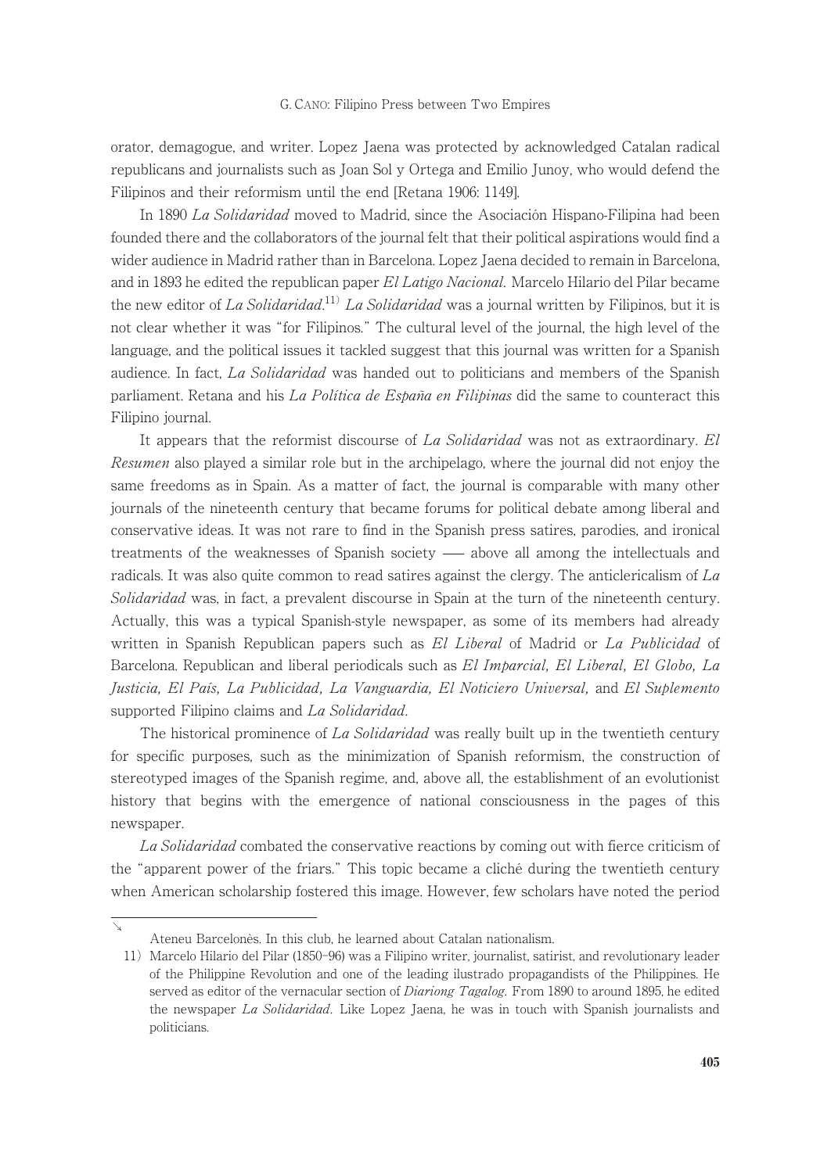orator, demagogue, and writer. Lopez Jaena was protected by acknowledged Catalan radical republicans and journalists such as Joan Sol y Ortega and Emilio Junoy, who would defend the Filipinos and their reformism until the end [Retana 1906: 1149].

In 1890 La Solidaridad moved to Madrid, since the Asociación Hispano-Filipina had been founded there and the collaborators of the journal felt that their political aspirations would find a wider audience in Madrid rather than in Barcelona. Lopez Jaena decided to remain in Barcelona, and in 1893 he edited the republican paper El Latigo Nacional. Marcelo Hilario del Pilar became the new editor of La Solidaridad.<sup>11)</sup> La Solidaridad was a journal written by Filipinos, but it is not clear whether it was "for Filipinos." The cultural level of the journal, the high level of the language, and the political issues it tackled suggest that this journal was written for a Spanish audience. In fact, La Solidaridad was handed out to politicians and members of the Spanish parliament. Retana and his La Política de España en Filipinas did the same to counteract this Filipino journal.

It appears that the reformist discourse of La Solidaridad was not as extraordinary. El Resumen also played a similar role but in the archipelago, where the journal did not enjoy the same freedoms as in Spain. As a matter of fact, the journal is comparable with many other journals of the nineteenth century that became forums for political debate among liberal and conservative ideas. It was not rare to find in the Spanish press satires, parodies, and ironical treatments of the weaknesses of Spanish society — above all among the intellectuals and radicals. It was also quite common to read satires against the clergy. The anticlericalism of  $La$ Solidaridad was, in fact, a prevalent discourse in Spain at the turn of the nineteenth century. Actually, this was a typical Spanish-style newspaper, as some of its members had already written in Spanish Republican papers such as El Liberal of Madrid or La Publicidad of Barcelona. Republican and liberal periodicals such as El Imparcial, El Liberal, El Globo, La Justicia, El País, La Publicidad, La Vanguardia, El Noticiero Universal, and El Suplemento supported Filipino claims and La Solidaridad.

The historical prominence of La Solidaridad was really built up in the twentieth century for specific purposes, such as the minimization of Spanish reformism, the construction of stereotyped images of the Spanish regime, and, above all, the establishment of an evolutionist history that begins with the emergence of national consciousness in the pages of this newspaper.

La Solidaridad combated the conservative reactions by coming out with fierce criticism of the "apparent power of the friars." This topic became a cliché during the twentieth century when American scholarship fostered this image. However, few scholars have noted the period

↘

Ateneu Barcelonès. In this club, he learned about Catalan nationalism.

<sup>11)</sup> Marcelo Hilario del Pilar (1850-96) was a Filipino writer, journalist, satirist, and revolutionary leader of the Philippine Revolution and one of the leading ilustrado propagandists of the Philippines. He served as editor of the vernacular section of *Diariong Tagalog*. From 1890 to around 1895, he edited the newspaper La Solidaridad. Like Lopez Jaena, he was in touch with Spanish journalists and politicians.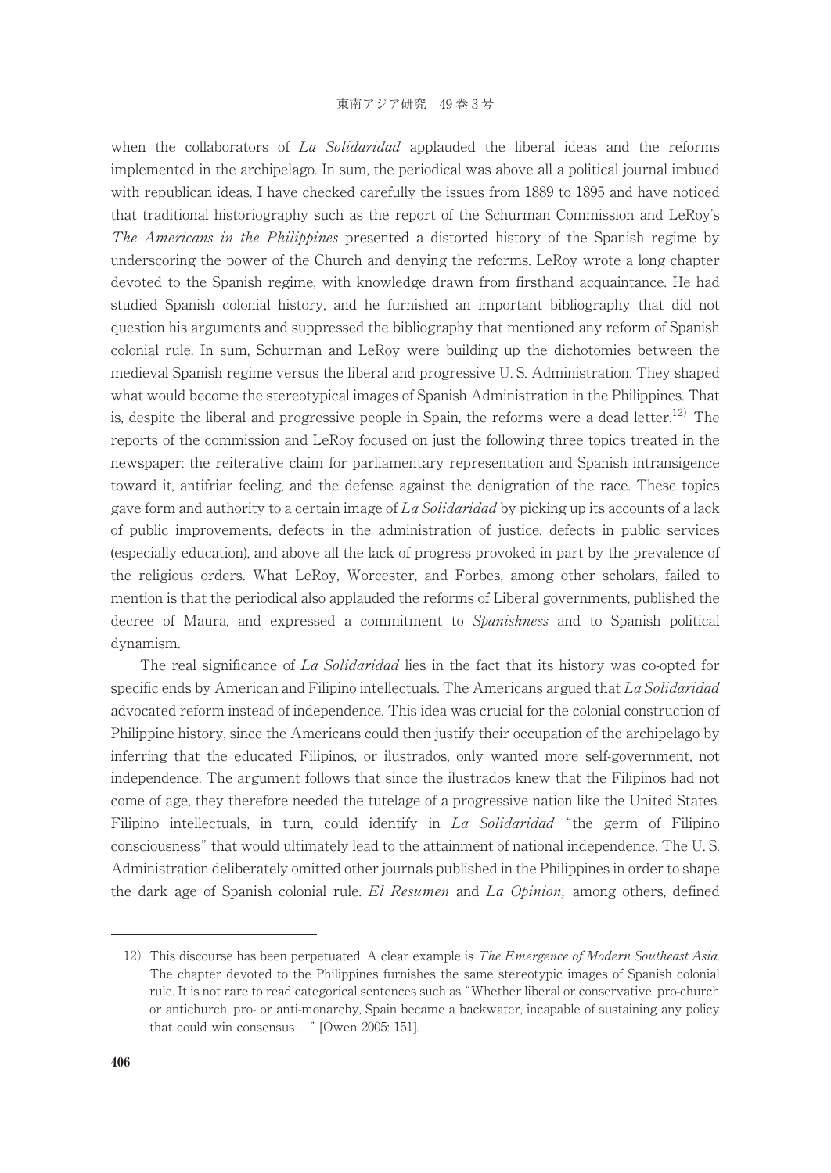when the collaborators of La Solidaridad applauded the liberal ideas and the reforms implemented in the archipelago. In sum, the periodical was above all a political journal imbued with republican ideas. I have checked carefully the issues from 1889 to 1895 and have noticed that traditional historiography such as the report of the Schurman Commission and LeRoy's The Americans in the Philippines presented a distorted history of the Spanish regime by underscoring the power of the Church and denying the reforms. LeRoy wrote a long chapter devoted to the Spanish regime, with knowledge drawn from firsthand acquaintance. He had studied Spanish colonial history, and he furnished an important bibliography that did not question his arguments and suppressed the bibliography that mentioned any reform of Spanish colonial rule. In sum, Schurman and LeRoy were building up the dichotomies between the medieval Spanish regime versus the liberal and progressive U. S. Administration. They shaped what would become the stereotypical images of Spanish Administration in the Philippines. That is, despite the liberal and progressive people in Spain, the reforms were a dead letter.<sup>12)</sup> The reports of the commission and LeRoy focused on just the following three topics treated in the newspaper: the reiterative claim for parliamentary representation and Spanish intransigence toward it, antifriar feeling, and the defense against the denigration of the race. These topics gave form and authority to a certain image of La Solidaridad by picking up its accounts of a lack of public improvements, defects in the administration of justice, defects in public services (especially education), and above all the lack of progress provoked in part by the prevalence of the religious orders. What LeRoy, Worcester, and Forbes, among other scholars, failed to mention is that the periodical also applauded the reforms of Liberal governments, published the decree of Maura, and expressed a commitment to *Spanishness* and to Spanish political dynamism.

The real significance of La Solidaridad lies in the fact that its history was co-opted for specific ends by American and Filipino intellectuals. The Americans argued that La Solidaridad advocated reform instead of independence. This idea was crucial for the colonial construction of Philippine history, since the Americans could then justify their occupation of the archipelago by inferring that the educated Filipinos, or ilustrados, only wanted more self-government, not independence. The argument follows that since the ilustrados knew that the Filipinos had not come of age, they therefore needed the tutelage of a progressive nation like the United States. Filipino intellectuals, in turn, could identify in La Solidaridad "the germ of Filipino consciousness" that would ultimately lead to the attainment of national independence. The U. S. Administration deliberately omitted other journals published in the Philippines in order to shape the dark age of Spanish colonial rule. El Resumen and La Opinion, among others, defined

<sup>12)</sup> This discourse has been perpetuated. A clear example is *The Emergence of Modern Southeast Asia*. The chapter devoted to the Philippines furnishes the same stereotypic images of Spanish colonial rule. It is not rare to read categorical sentences such as "Whether liberal or conservative, pro-church or antichurch, pro- or anti-monarchy, Spain became a backwater, incapable of sustaining any policy that could win consensus ..." [Owen 2005: 151].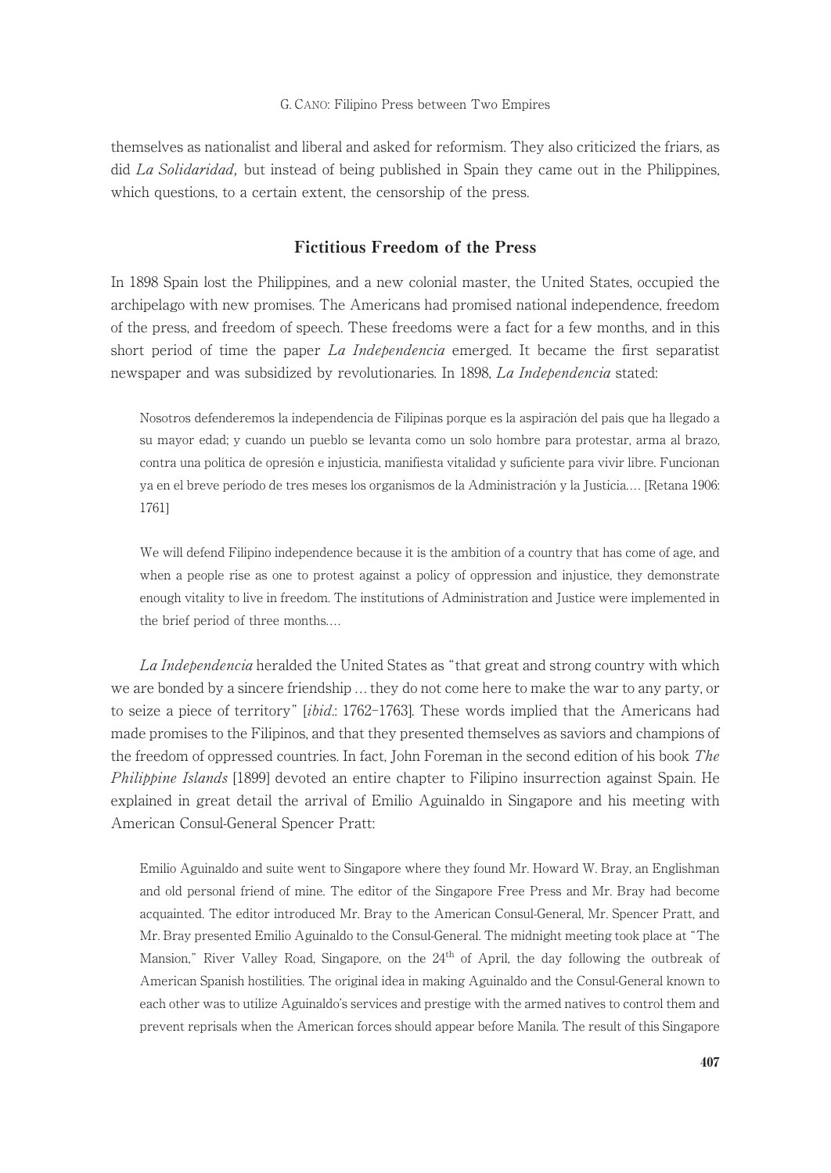themselves as nationalist and liberal and asked for reformism. They also criticized the friars, as did La Solidaridad, but instead of being published in Spain they came out in the Philippines, which questions, to a certain extent, the censorship of the press.

# Fictitious Freedom of the Press

In 1898 Spain lost the Philippines, and a new colonial master, the United States, occupied the archipelago with new promises. The Americans had promised national independence, freedom of the press, and freedom of speech. These freedoms were a fact for a few months, and in this short period of time the paper  $La$  *Independencia* emerged. It became the first separatist newspaper and was subsidized by revolutionaries. In 1898, La Independencia stated:

Nosotros defenderemos la independencia de Filipinas porque es la aspiración del país que ha llegado a su mayor edad; y cuando un pueblo se levanta como un solo hombre para protestar, arma al brazo, contra una política de opresión e injusticia, manifiesta vitalidad y suficiente para vivir libre. Funcionan ya en el breve período de tres meses los organismos de la Administración y la Justicia.... [Retana 1906: 1761]

We will defend Filipino independence because it is the ambition of a country that has come of age, and when a people rise as one to protest against a policy of oppression and injustice, they demonstrate enough vitality to live in freedom. The institutions of Administration and Justice were implemented in the brief period of three months....

La Independencia heralded the United States as "that great and strong country with which we are bonded by a sincere friendship ... they do not come here to make the war to any party, or to seize a piece of territory" *[ibid.*: 1762-1763]. These words implied that the Americans had made promises to the Filipinos, and that they presented themselves as saviors and champions of the freedom of oppressed countries. In fact, John Foreman in the second edition of his book The Philippine Islands [1899] devoted an entire chapter to Filipino insurrection against Spain. He explained in great detail the arrival of Emilio Aguinaldo in Singapore and his meeting with American Consul-General Spencer Pratt:

Emilio Aguinaldo and suite went to Singapore where they found Mr. Howard W. Bray, an Englishman and old personal friend of mine. The editor of the Singapore Free Press and Mr. Bray had become acquainted. The editor introduced Mr. Bray to the American Consul-General, Mr. Spencer Pratt, and Mr. Bray presented Emilio Aguinaldo to the Consul-General. The midnight meeting took place at "The Mansion," River Valley Road, Singapore, on the 24<sup>th</sup> of April, the day following the outbreak of American Spanish hostilities. The original idea in making Aguinaldo and the Consul-General known to each other was to utilize Aguinaldo's services and prestige with the armed natives to control them and prevent reprisals when the American forces should appear before Manila. The result of this Singapore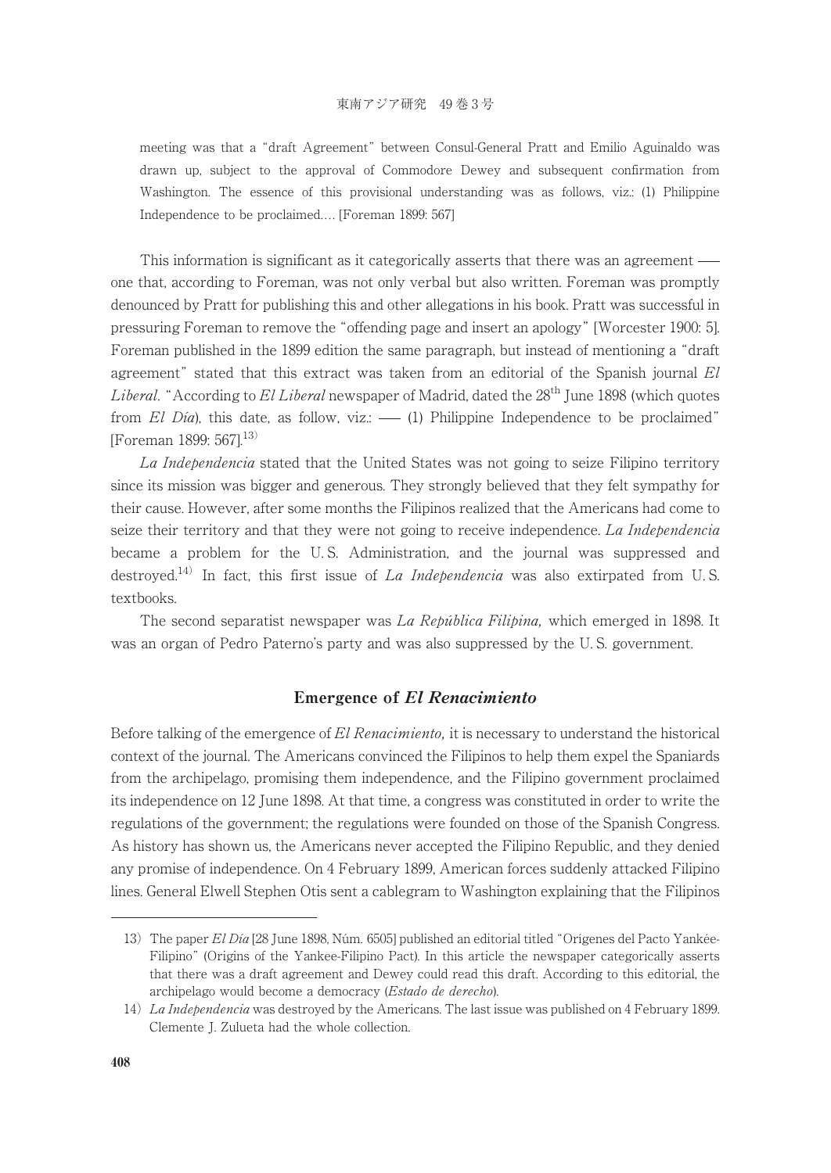meeting was that a "draft Agreement" between Consul-General Pratt and Emilio Aguinaldo was drawn up, subject to the approval of Commodore Dewey and subsequent confirmation from Washington. The essence of this provisional understanding was as follows, viz.: (1) Philippine Independence to be proclaimed.... [Foreman 1899: 567]

This information is significant as it categorically asserts that there was an agreement one that, according to Foreman, was not only verbal but also written. Foreman was promptly denounced by Pratt for publishing this and other allegations in his book. Pratt was successful in pressuring Foreman to remove the "offending page and insert an apology" [Worcester 1900: 5]. Foreman published in the 1899 edition the same paragraph, but instead of mentioning a "draft agreement" stated that this extract was taken from an editorial of the Spanish journal  $El$ Liberal. "According to El Liberal newspaper of Madrid, dated the  $28<sup>th</sup>$  June 1898 (which quotes from El Día), this date, as follow, viz.:  $\frac{1}{1}$  Philippine Independence to be proclaimed" [Foreman 1899: 567].<sup>13)</sup>

La Independencia stated that the United States was not going to seize Filipino territory since its mission was bigger and generous. They strongly believed that they felt sympathy for their cause. However, after some months the Filipinos realized that the Americans had come to seize their territory and that they were not going to receive independence. La Independencia became a problem for the U. S. Administration, and the journal was suppressed and destroyed.<sup>14)</sup> In fact, this first issue of *La Independencia* was also extirpated from U.S. textbooks.

The second separatist newspaper was La República Filipina, which emerged in 1898. It was an organ of Pedro Paterno's party and was also suppressed by the U. S. government.

# Emergence of El Renacimiento

Before talking of the emergence of El Renacimiento, it is necessary to understand the historical context of the journal. The Americans convinced the Filipinos to help them expel the Spaniards from the archipelago, promising them independence, and the Filipino government proclaimed its independence on 12 June 1898. At that time, a congress was constituted in order to write the regulations of the government; the regulations were founded on those of the Spanish Congress. As history has shown us, the Americans never accepted the Filipino Republic, and they denied any promise of independence. On 4 February 1899, American forces suddenly attacked Filipino lines. General Elwell Stephen Otis sent a cablegram to Washington explaining that the Filipinos

<sup>13)</sup> The paper El Día [28 June 1898, Núm. 6505] published an editorial titled "Orígenes del Pacto Yankée-Filipino" (Origins of the Yankee-Filipino Pact). In this article the newspaper categorically asserts that there was a draft agreement and Dewey could read this draft. According to this editorial, the archipelago would become a democracy (*Estado de derecho*).

<sup>14)</sup> La Independencia was destroyed by the Americans. The last issue was published on 4 February 1899. Clemente J. Zulueta had the whole collection.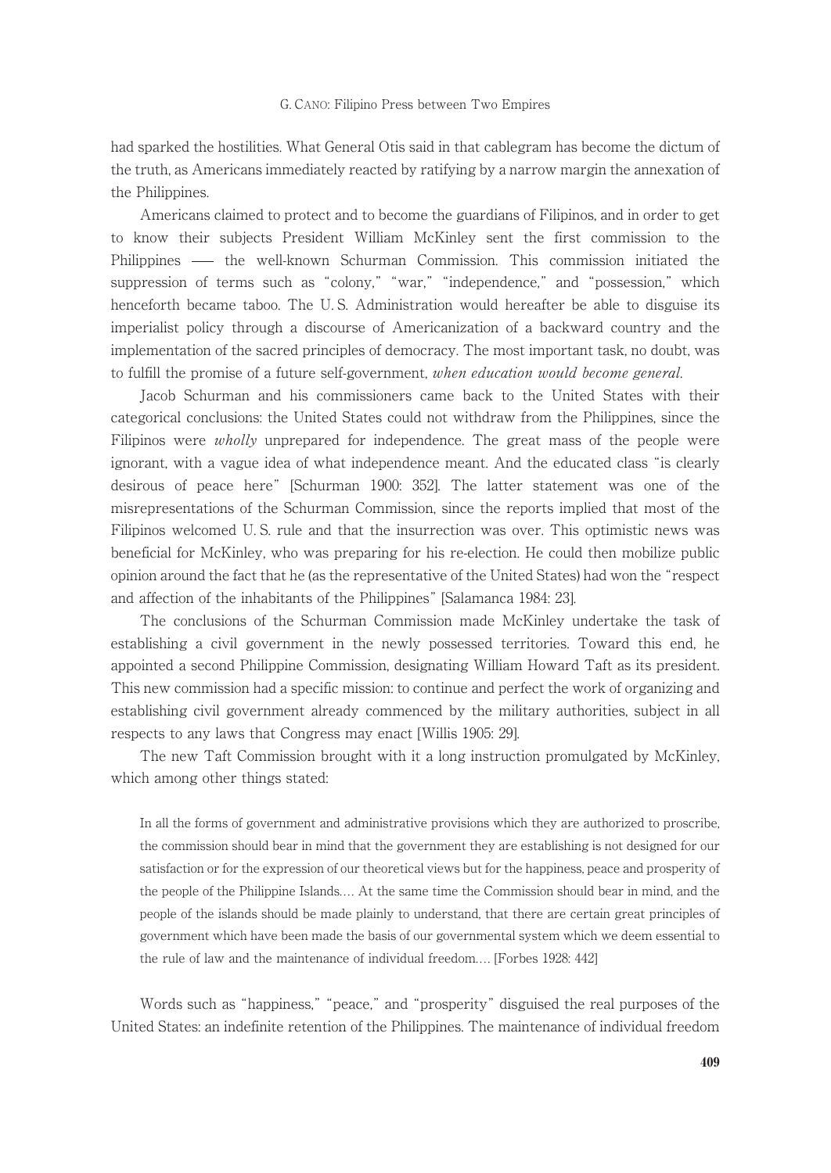had sparked the hostilities. What General Otis said in that cablegram has become the dictum of the truth, as Americans immediately reacted by ratifying by a narrow margin the annexation of the Philippines.

Americans claimed to protect and to become the guardians of Filipinos, and in order to get to know their subjects President William McKinley sent the first commission to the Philippines — the well-known Schurman Commission. This commission initiated the suppression of terms such as "colony," "war," "independence," and "possession," which henceforth became taboo. The U. S. Administration would hereafter be able to disguise its imperialist policy through a discourse of Americanization of a backward country and the implementation of the sacred principles of democracy. The most important task, no doubt, was to fulfill the promise of a future self-government, when education would become general.

Jacob Schurman and his commissioners came back to the United States with their categorical conclusions: the United States could not withdraw from the Philippines, since the Filipinos were *wholly* unprepared for independence. The great mass of the people were ignorant, with a vague idea of what independence meant. And the educated class "is clearly desirous of peace here" [Schurman 1900: 352]. The latter statement was one of the misrepresentations of the Schurman Commission, since the reports implied that most of the Filipinos welcomed U. S. rule and that the insurrection was over. This optimistic news was beneficial for McKinley, who was preparing for his re-election. He could then mobilize public opinion around the fact that he (as the representative of the United States) had won the "respect and affection of the inhabitants of the Philippines" [Salamanca 1984: 23].

The conclusions of the Schurman Commission made McKinley undertake the task of establishing a civil government in the newly possessed territories. Toward this end, he appointed a second Philippine Commission, designating William Howard Taft as its president. This new commission had a specific mission: to continue and perfect the work of organizing and establishing civil government already commenced by the military authorities, subject in all respects to any laws that Congress may enact [Willis 1905: 29].

The new Taft Commission brought with it a long instruction promulgated by McKinley, which among other things stated:

In all the forms of government and administrative provisions which they are authorized to proscribe, the commission should bear in mind that the government they are establishing is not designed for our satisfaction or for the expression of our theoretical views but for the happiness, peace and prosperity of the people of the Philippine Islands.... At the same time the Commission should bear in mind, and the people of the islands should be made plainly to understand, that there are certain great principles of government which have been made the basis of our governmental system which we deem essential to the rule of law and the maintenance of individual freedom.... [Forbes 1928: 442]

Words such as "happiness," "peace," and "prosperity" disguised the real purposes of the United States: an indefinite retention of the Philippines. The maintenance of individual freedom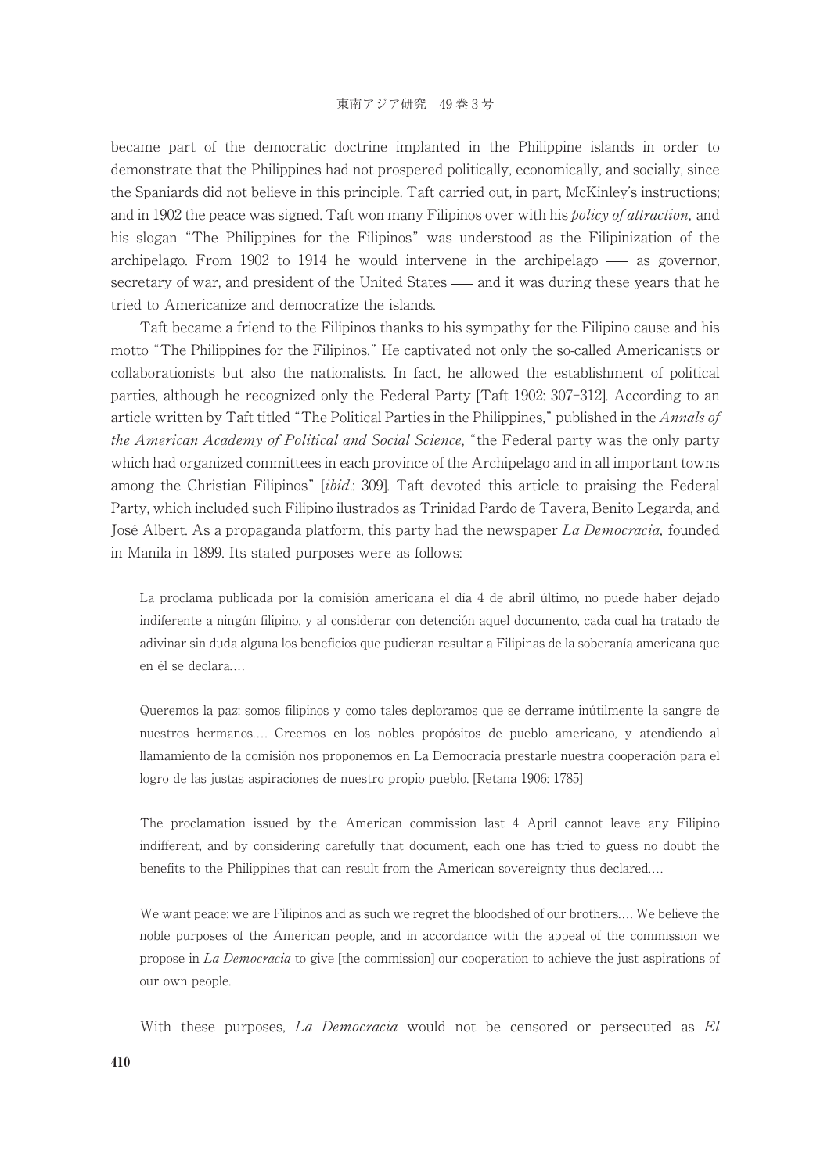became part of the democratic doctrine implanted in the Philippine islands in order to demonstrate that the Philippines had not prospered politically, economically, and socially, since the Spaniards did not believe in this principle. Taft carried out, in part, McKinley's instructions; and in 1902 the peace was signed. Taft won many Filipinos over with his *policy of attraction*, and his slogan "The Philippines for the Filipinos" was understood as the Filipinization of the archipelago. From  $1902$  to  $1914$  he would intervene in the archipelago — as governor, secretary of war, and president of the United States  $\frac{d}{dx}$  and it was during these years that he tried to Americanize and democratize the islands.

Taft became a friend to the Filipinos thanks to his sympathy for the Filipino cause and his motto "The Philippines for the Filipinos." He captivated not only the so-called Americanists or collaborationists but also the nationalists. In fact, he allowed the establishment of political parties, although he recognized only the Federal Party [Taft 1902: 307-312]. According to an article written by Taft titled "The Political Parties in the Philippines," published in the *Annals of* the American Academy of Political and Social Science, "the Federal party was the only party which had organized committees in each province of the Archipelago and in all important towns among the Christian Filipinos" [ibid.: 309]. Taft devoted this article to praising the Federal Party, which included such Filipino ilustrados as Trinidad Pardo de Tavera, Benito Legarda, and José Albert. As a propaganda platform, this party had the newspaper La Democracia, founded in Manila in 1899. Its stated purposes were as follows:

La proclama publicada por la comisión americana el día 4 de abril último, no puede haber dejado indiferente a ningún filipino, y al considerar con detención aquel documento, cada cual ha tratado de adivinar sin duda alguna los beneficios que pudieran resultar a Filipinas de la soberanía americana que en él se declara....

Queremos la paz: somos filipinos y como tales deploramos que se derrame inútilmente la sangre de nuestros hermanos.... Creemos en los nobles propósitos de pueblo americano, y atendiendo al llamamiento de la comisión nos proponemos en La Democracia prestarle nuestra cooperación para el logro de las justas aspiraciones de nuestro propio pueblo. [Retana 1906: 1785]

The proclamation issued by the American commission last 4 April cannot leave any Filipino indifferent, and by considering carefully that document, each one has tried to guess no doubt the benefits to the Philippines that can result from the American sovereignty thus declared....

We want peace: we are Filipinos and as such we regret the bloodshed of our brothers.... We believe the noble purposes of the American people, and in accordance with the appeal of the commission we propose in La Democracia to give [the commission] our cooperation to achieve the just aspirations of our own people.

With these purposes, La Democracia would not be censored or persecuted as El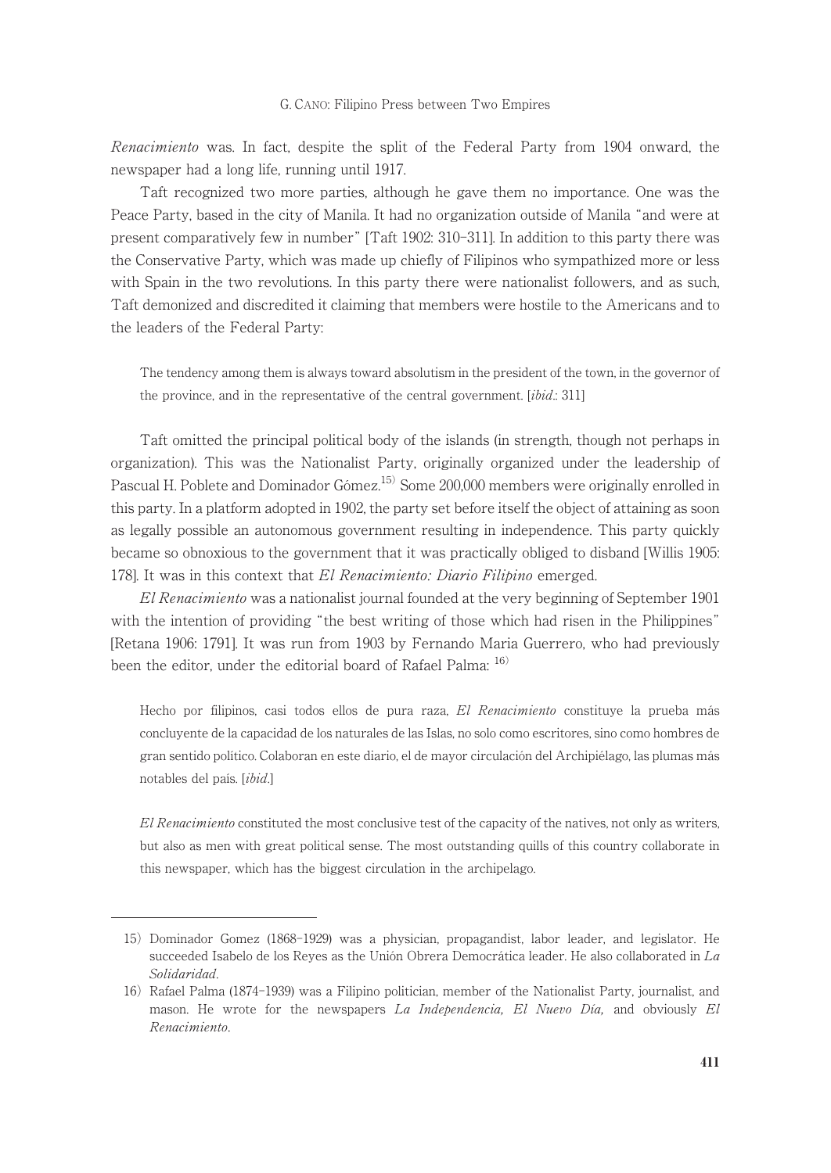Renacimiento was. In fact, despite the split of the Federal Party from 1904 onward, the newspaper had a long life, running until 1917.

Taft recognized two more parties, although he gave them no importance. One was the Peace Party, based in the city of Manila. It had no organization outside of Manila "and were at present comparatively few in number" [Taft 1902: 310-311]. In addition to this party there was the Conservative Party, which was made up chiefly of Filipinos who sympathized more or less with Spain in the two revolutions. In this party there were nationalist followers, and as such, Taft demonized and discredited it claiming that members were hostile to the Americans and to the leaders of the Federal Party:

The tendency among them is always toward absolutism in the president of the town, in the governor of the province, and in the representative of the central government. [*ibid.*: 311]

Taft omitted the principal political body of the islands (in strength, though not perhaps in organization). This was the Nationalist Party, originally organized under the leadership of Pascual H. Poblete and Dominador Gómez.<sup>15)</sup> Some 200,000 members were originally enrolled in this party. In a platform adopted in 1902, the party set before itself the object of attaining as soon as legally possible an autonomous government resulting in independence. This party quickly became so obnoxious to the government that it was practically obliged to disband [Willis 1905: 178]. It was in this context that El Renacimiento: Diario Filipino emerged.

El Renacimiento was a nationalist journal founded at the very beginning of September 1901 with the intention of providing "the best writing of those which had risen in the Philippines" [Retana 1906: 1791]. It was run from 1903 by Fernando Maria Guerrero, who had previously been the editor, under the editorial board of Rafael Palma: <sup>16)</sup>

Hecho por filipinos, casi todos ellos de pura raza, El Renacimiento constituye la prueba más concluyente de la capacidad de los naturales de las Islas, no solo como escritores, sino como hombres de gran sentido político. Colaboran en este diario, el de mayor circulación del Archipiélago, las plumas más notables del país. [ibid.]

El Renacimiento constituted the most conclusive test of the capacity of the natives, not only as writers, but also as men with great political sense. The most outstanding quills of this country collaborate in this newspaper, which has the biggest circulation in the archipelago.

<sup>15)</sup> Dominador Gomez (1868-1929) was a physician, propagandist, labor leader, and legislator. He succeeded Isabelo de los Reyes as the Unión Obrera Democrática leader. He also collaborated in La Solidaridad.

<sup>16)</sup> Rafael Palma (1874-1939) was a Filipino politician, member of the Nationalist Party, journalist, and mason. He wrote for the newspapers *La Independencia*, *El Nuevo Día*, and obviously *El* Renacimiento.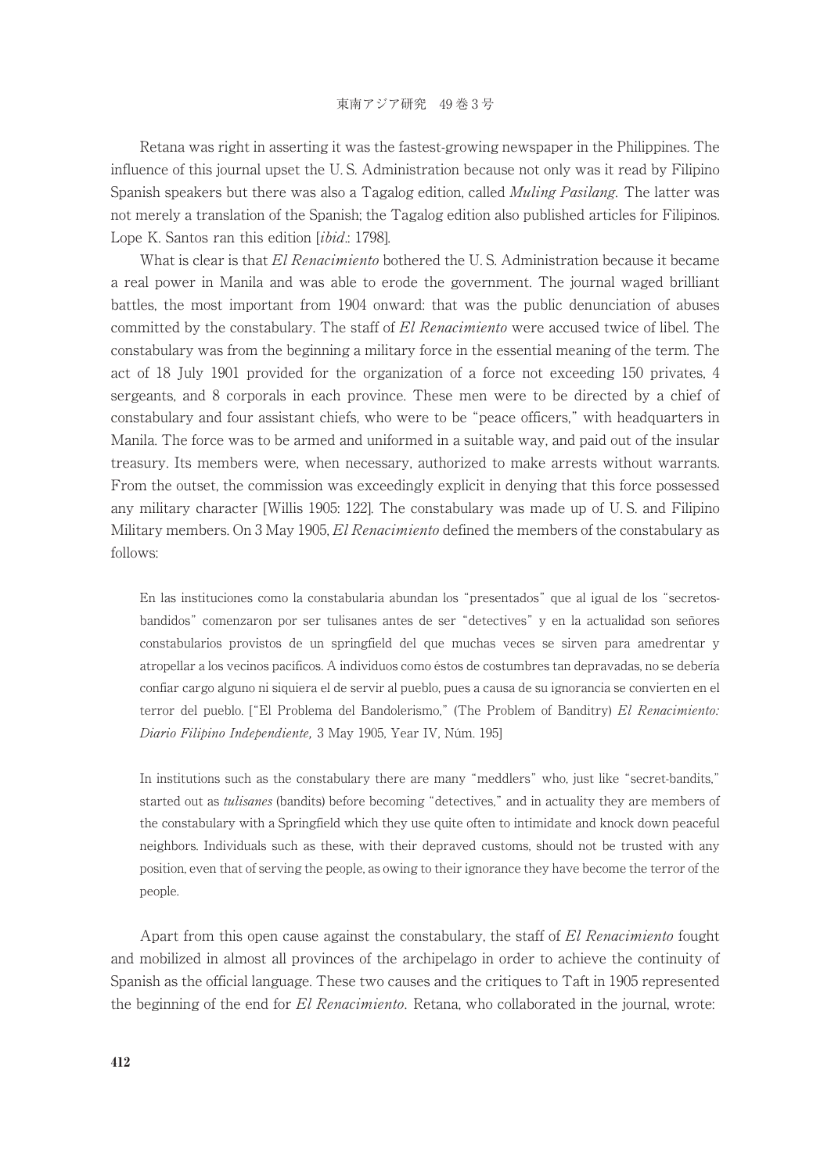Retana was right in asserting it was the fastest-growing newspaper in the Philippines. The influence of this journal upset the U. S. Administration because not only was it read by Filipino Spanish speakers but there was also a Tagalog edition, called *Muling Pasilang*. The latter was not merely a translation of the Spanish; the Tagalog edition also published articles for Filipinos. Lope K. Santos ran this edition [ibid.: 1798].

What is clear is that El Renacimiento bothered the U.S. Administration because it became a real power in Manila and was able to erode the government. The journal waged brilliant battles, the most important from 1904 onward: that was the public denunciation of abuses committed by the constabulary. The staff of El Renacimiento were accused twice of libel. The constabulary was from the beginning a military force in the essential meaning of the term. The act of 18 July 1901 provided for the organization of a force not exceeding 150 privates, 4 sergeants, and 8 corporals in each province. These men were to be directed by a chief of constabulary and four assistant chiefs, who were to be "peace officers," with headquarters in Manila. The force was to be armed and uniformed in a suitable way, and paid out of the insular treasury. Its members were, when necessary, authorized to make arrests without warrants. From the outset, the commission was exceedingly explicit in denying that this force possessed any military character [Willis 1905: 122]. The constabulary was made up of U. S. and Filipino Military members. On 3 May 1905, El Renacimiento defined the members of the constabulary as follows:

En las instituciones como la constabularia abundan los "presentados" que al igual de los "secretosbandidos" comenzaron por ser tulisanes antes de ser "detectives" y en la actualidad son señores constabularios provistos de un springfield del que muchas veces se sirven para amedrentar y atropellar a los vecinos pacíficos. Aindividuos como éstos de costumbres tan depravadas, no se debería confiar cargo alguno ni siquiera el de servir al pueblo, pues a causa de su ignorancia se convierten en el terror del pueblo. ["El Problema del Bandolerismo," (The Problem of Banditry) El Renacimiento: Diario Filipino Independiente, 3 May 1905, Year IV, Núm. 195]

In institutions such as the constabulary there are many "meddlers" who, just like "secret-bandits," started out as *tulisanes* (bandits) before becoming "detectives," and in actuality they are members of the constabulary with a Springfield which they use quite often to intimidate and knock down peaceful neighbors. Individuals such as these, with their depraved customs, should not be trusted with any position, even that of serving the people, as owing to their ignorance they have become the terror of the people.

Apart from this open cause against the constabulary, the staff of El Renacimiento fought and mobilized in almost all provinces of the archipelago in order to achieve the continuity of Spanish as the official language. These two causes and the critiques to Taft in 1905 represented the beginning of the end for El Renacimiento. Retana, who collaborated in the journal, wrote: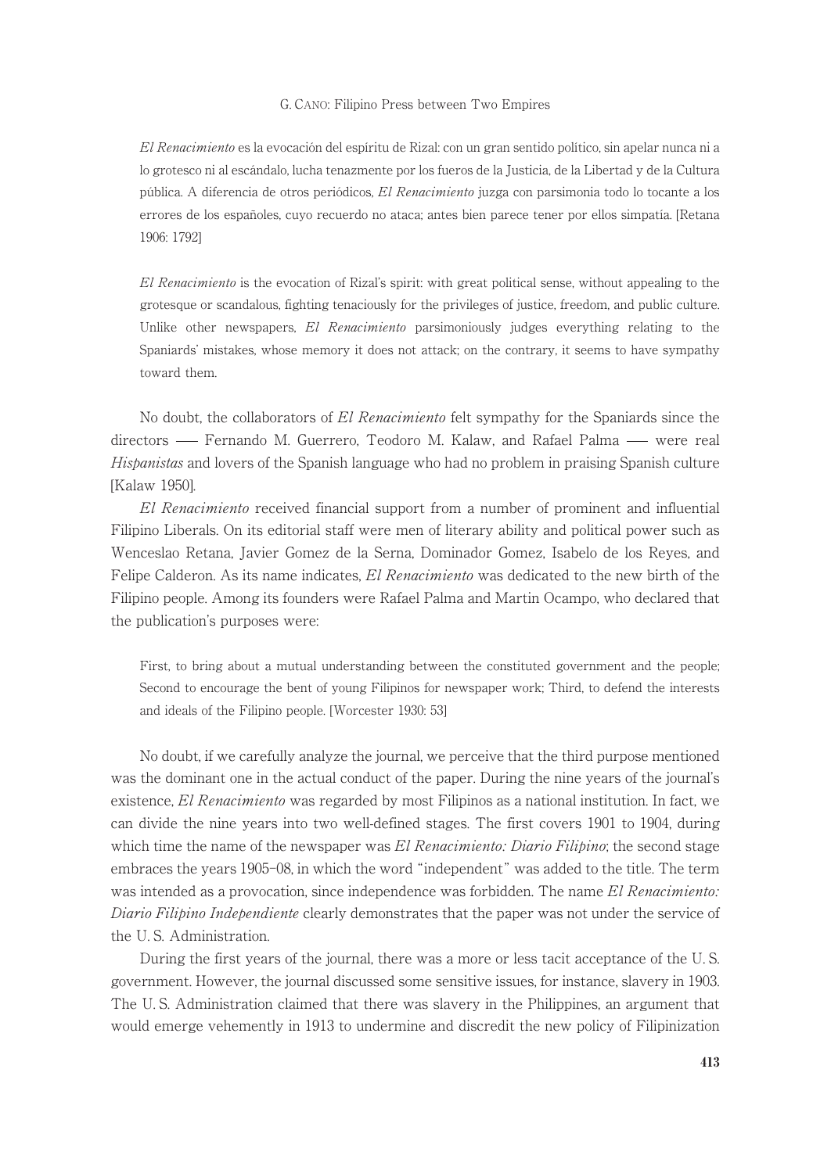El Renacimiento es la evocación del espíritu de Rizal: con un gran sentido político, sin apelar nunca ni a lo grotesco ni al escándalo, lucha tenazmente por los fueros de la Justicia, de la Libertad y de la Cultura pública. Adiferencia de otros periódicos, El Renacimiento juzga con parsimonia todo lo tocante a los errores de los españoles, cuyo recuerdo no ataca; antes bien parece tener por ellos simpatía. [Retana 1906: 1792]

El Renacimiento is the evocation of Rizal's spirit: with great political sense, without appealing to the grotesque or scandalous, fighting tenaciously for the privileges of justice, freedom, and public culture. Unlike other newspapers, El Renacimiento parsimoniously judges everything relating to the Spaniards' mistakes, whose memory it does not attack; on the contrary, it seems to have sympathy toward them.

No doubt, the collaborators of El Renacimiento felt sympathy for the Spaniards since the directors — Fernando M. Guerrero, Teodoro M. Kalaw, and Rafael Palma — were real Hispanistas and lovers of the Spanish language who had no problem in praising Spanish culture [Kalaw 1950].

El Renacimiento received financial support from a number of prominent and influential Filipino Liberals. On its editorial staff were men of literary ability and political power such as Wenceslao Retana, Javier Gomez de la Serna, Dominador Gomez, Isabelo de los Reyes, and Felipe Calderon. As its name indicates, El Renacimiento was dedicated to the new birth of the Filipino people. Among its founders were Rafael Palma and Martin Ocampo, who declared that the publication's purposes were:

First, to bring about a mutual understanding between the constituted government and the people; Second to encourage the bent of young Filipinos for newspaper work; Third, to defend the interests and ideals of the Filipino people. [Worcester 1930: 53]

No doubt, if we carefully analyze the journal, we perceive that the third purpose mentioned was the dominant one in the actual conduct of the paper. During the nine years of the journal's existence, El Renacimiento was regarded by most Filipinos as a national institution. In fact, we can divide the nine years into two well-defined stages. The first covers 1901 to 1904, during which time the name of the newspaper was El Renacimiento: Diario Filipino; the second stage embraces the years 1905-08, in which the word "independent" was added to the title. The term was intended as a provocation, since independence was forbidden. The name El Renacimiento: Diario Filipino Independiente clearly demonstrates that the paper was not under the service of the U. S. Administration.

During the first years of the journal, there was a more or less tacit acceptance of the U. S. government. However, the journal discussed some sensitive issues, for instance, slavery in 1903. The U. S. Administration claimed that there was slavery in the Philippines, an argument that would emerge vehemently in 1913 to undermine and discredit the new policy of Filipinization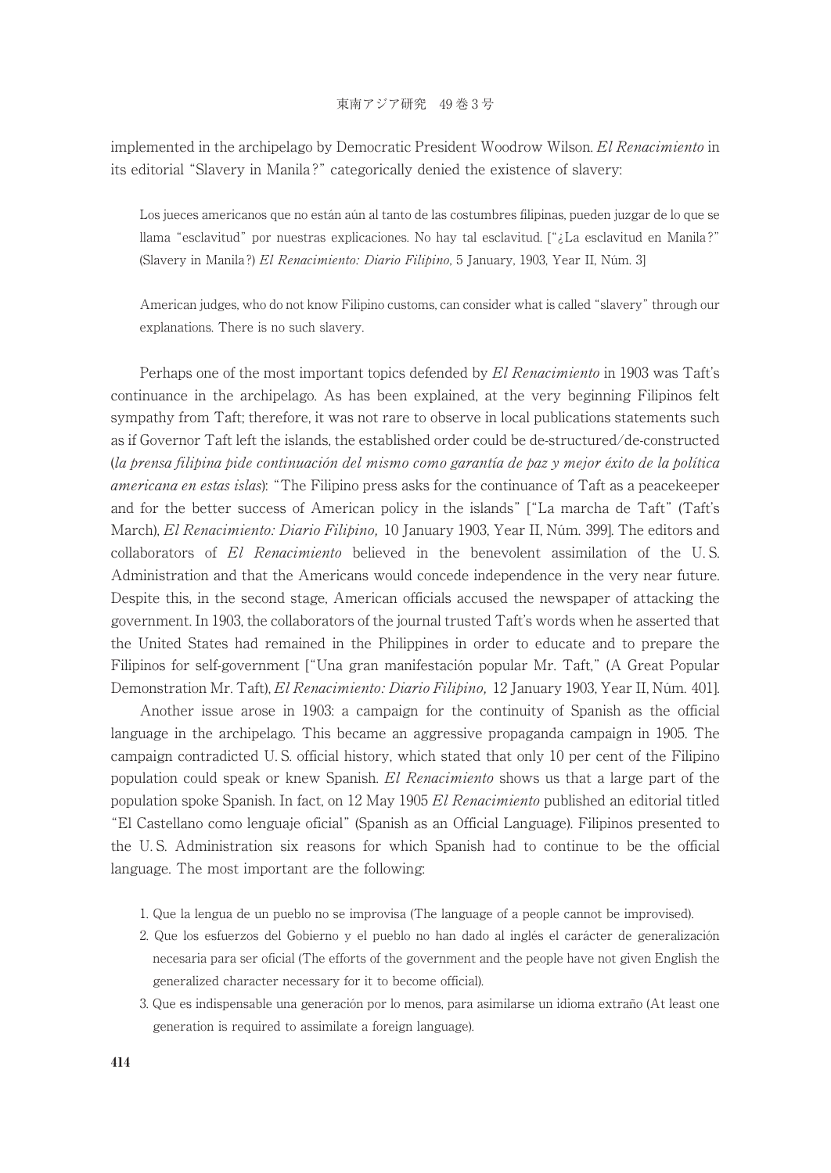implemented in the archipelago by Democratic President Woodrow Wilson. El Renacimiento in its editorial "Slavery in Manila ?" categorically denied the existence of slavery:

Los jueces americanos que no están aún al tanto de las costumbres filipinas, pueden juzgar de lo que se llama "esclavitud" por nuestras explicaciones. No hay tal esclavitud. ["¿La esclavitud en Manila ?" (Slavery in Manila ?) El Renacimiento: Diario Filipino, 5 January, 1903, Year II, Núm. 3]

American judges, who do not know Filipino customs, can consider what is called "slavery" through our explanations. There is no such slavery.

Perhaps one of the most important topics defended by El Renacimiento in 1903 was Taft's continuance in the archipelago. As has been explained, at the very beginning Filipinos felt sympathy from Taft; therefore, it was not rare to observe in local publications statements such as if Governor Taft left the islands, the established order could be de-structured/de-constructed (la prensa filipina pide continuación del mismo como garantía de paz y mejor éxito de la política americana en estas islas): "The Filipino press asks for the continuance of Taft as a peacekeeper and for the better success of American policy in the islands" ["La marcha de Taft" (Taft's March), El Renacimiento: Diario Filipino, 10 January 1903, Year II, Núm. 399]. The editors and collaborators of El Renacimiento believed in the benevolent assimilation of the U.S. Administration and that the Americans would concede independence in the very near future. Despite this, in the second stage, American officials accused the newspaper of attacking the government. In 1903, the collaborators of the journal trusted Taft's words when he asserted that the United States had remained in the Philippines in order to educate and to prepare the Filipinos for self-government ["Una gran manifestación popular Mr. Taft," (AGreat Popular Demonstration Mr. Taft), El Renacimiento: Diario Filipino, 12 January 1903, Year II, Núm. 401].

Another issue arose in 1903: a campaign for the continuity of Spanish as the official language in the archipelago. This became an aggressive propaganda campaign in 1905. The campaign contradicted U. S. official history, which stated that only 10 per cent of the Filipino population could speak or knew Spanish. El Renacimiento shows us that a large part of the population spoke Spanish. In fact, on 12 May 1905 El Renacimiento published an editorial titled "El Castellano como lenguaje oficial" (Spanish as an Official Language). Filipinos presented to the U. S. Administration six reasons for which Spanish had to continue to be the official language. The most important are the following:

- 1. Que la lengua de un pueblo no se improvisa (The language of a people cannot be improvised).
- 2. Que los esfuerzos del Gobierno y el pueblo no han dado al inglés el carácter de generalización necesaria para ser oficial (The efforts of the government and the people have not given English the generalized character necessary for it to become official).
- 3. Que es indispensable una generación por lo menos, para asimilarse un idioma extraño (At least one generation is required to assimilate a foreign language).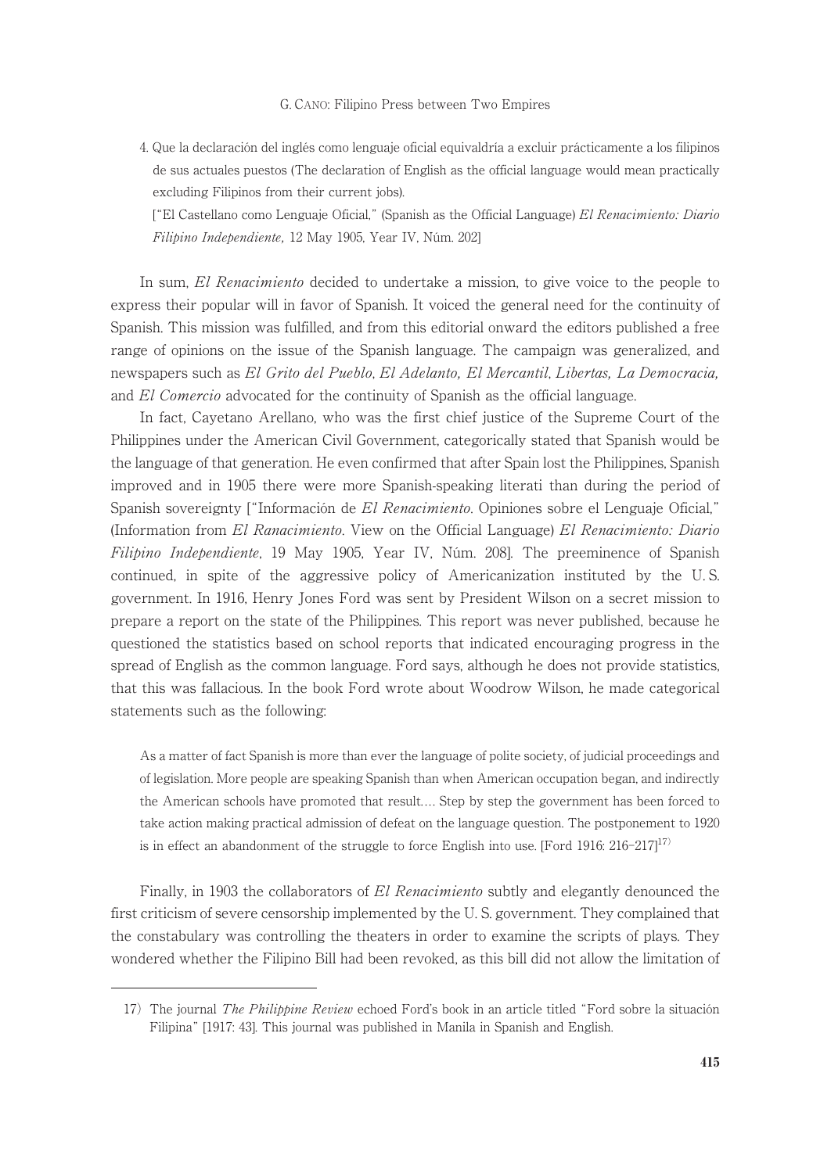4. Que la declaración del inglés como lenguaje oficial equivaldría a excluir prácticamente a los filipinos de sus actuales puestos (The declaration of English as the official language would mean practically excluding Filipinos from their current jobs).

["El Castellano como Lenguaje Oficial," (Spanish as the Official Language) El Renacimiento: Diario Filipino Independiente, 12 May 1905, Year IV, Núm. 202]

In sum, El Renacimiento decided to undertake a mission, to give voice to the people to express their popular will in favor of Spanish. It voiced the general need for the continuity of Spanish. This mission was fulfilled, and from this editorial onward the editors published a free range of opinions on the issue of the Spanish language. The campaign was generalized, and newspapers such as El Grito del Pueblo, El Adelanto, El Mercantil, Libertas, La Democracia, and El Comercio advocated for the continuity of Spanish as the official language.

In fact, Cayetano Arellano, who was the first chief justice of the Supreme Court of the Philippines under the American Civil Government, categorically stated that Spanish would be the language of that generation. He even confirmed that after Spain lost the Philippines, Spanish improved and in 1905 there were more Spanish-speaking literati than during the period of Spanish sovereignty ["Información de *El Renacimiento*. Opiniones sobre el Lenguaje Oficial," (Information from El Ranacimiento. View on the Official Language) El Renacimiento: Diario Filipino Independiente, 19 May 1905, Year IV, Núm. 208]. The preeminence of Spanish continued, in spite of the aggressive policy of Americanization instituted by the U. S. government. In 1916, Henry Jones Ford was sent by President Wilson on a secret mission to prepare a report on the state of the Philippines. This report was never published, because he questioned the statistics based on school reports that indicated encouraging progress in the spread of English as the common language. Ford says, although he does not provide statistics, that this was fallacious. In the book Ford wrote about Woodrow Wilson, he made categorical statements such as the following:

As a matter of fact Spanish is more than ever the language of polite society, of judicial proceedings and of legislation. More people are speaking Spanish than when American occupation began, and indirectly the American schools have promoted that result.... Step by step the government has been forced to take action making practical admission of defeat on the language question. The postponement to 1920 is in effect an abandonment of the struggle to force English into use. [Ford 1916:  $216-2171^{17}$ ]

Finally, in 1903 the collaborators of El Renacimiento subtly and elegantly denounced the first criticism of severe censorship implemented by the U. S. government. They complained that the constabulary was controlling the theaters in order to examine the scripts of plays. They wondered whether the Filipino Bill had been revoked, as this bill did not allow the limitation of

<sup>17)</sup> The journal The Philippine Review echoed Ford's book in an article titled "Ford sobre la situación Filipina" [1917: 43]. This journal was published in Manila in Spanish and English.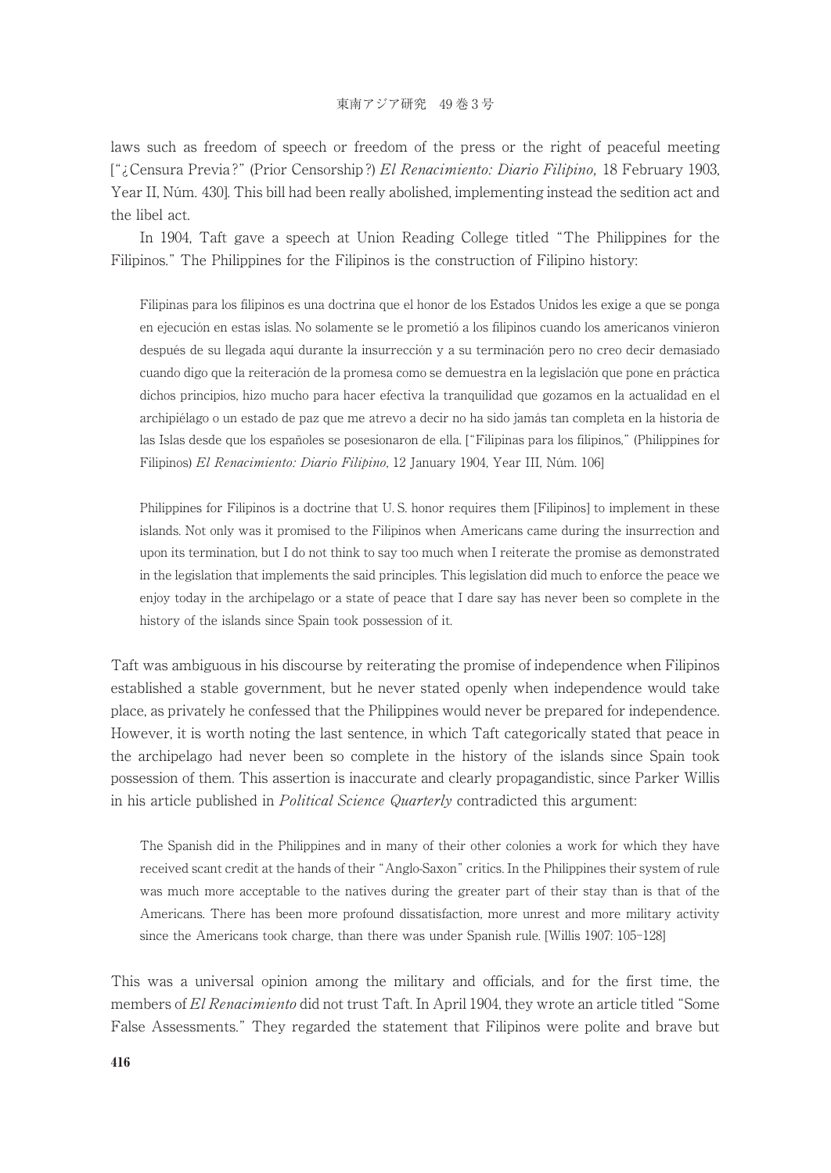laws such as freedom of speech or freedom of the press or the right of peaceful meeting ["¿Censura Previa ?" (Prior Censorship ?) El Renacimiento: Diario Filipino, 18 February 1903, Year II, Núm. 430]. This bill had been really abolished, implementing instead the sedition act and the libel act.

In 1904, Taft gave a speech at Union Reading College titled "The Philippines for the Filipinos." The Philippines for the Filipinos is the construction of Filipino history:

Filipinas para los filipinos es una doctrina que el honor de los Estados Unidos les exige a que se ponga en ejecución en estas islas. No solamente se le prometió a los filipinos cuando los americanos vinieron después de su llegada aquí durante la insurrección y a su terminación pero no creo decir demasiado cuando digo que la reiteración de la promesa como se demuestra en la legislación que pone en práctica dichos principios, hizo mucho para hacer efectiva la tranquilidad que gozamos en la actualidad en el archipiélago o un estado de paz que me atrevo a decir no ha sido jamás tan completa en la historia de las Islas desde que los españoles se posesionaron de ella. ["Filipinas para los filipinos," (Philippines for Filipinos) El Renacimiento: Diario Filipino, 12 January 1904, Year III, Núm. 106]

Philippines for Filipinos is a doctrine that U. S. honor requires them [Filipinos] to implement in these islands. Not only was it promised to the Filipinos when Americans came during the insurrection and upon its termination, but I do not think to say too much when I reiterate the promise as demonstrated in the legislation that implements the said principles. This legislation did much to enforce the peace we enjoy today in the archipelago or a state of peace that I dare say has never been so complete in the history of the islands since Spain took possession of it.

Taft was ambiguous in his discourse by reiterating the promise of independence when Filipinos established a stable government, but he never stated openly when independence would take place, as privately he confessed that the Philippines would never be prepared for independence. However, it is worth noting the last sentence, in which Taft categorically stated that peace in the archipelago had never been so complete in the history of the islands since Spain took possession of them. This assertion is inaccurate and clearly propagandistic, since Parker Willis in his article published in *Political Science Quarterly* contradicted this argument:

The Spanish did in the Philippines and in many of their other colonies a work for which they have received scant credit at the hands of their "Anglo-Saxon" critics. In the Philippines their system of rule was much more acceptable to the natives during the greater part of their stay than is that of the Americans. There has been more profound dissatisfaction, more unrest and more military activity since the Americans took charge, than there was under Spanish rule. [Willis 1907: 105-128]

This was a universal opinion among the military and officials, and for the first time, the members of El Renacimiento did not trust Taft. In April 1904, they wrote an article titled "Some False Assessments." They regarded the statement that Filipinos were polite and brave but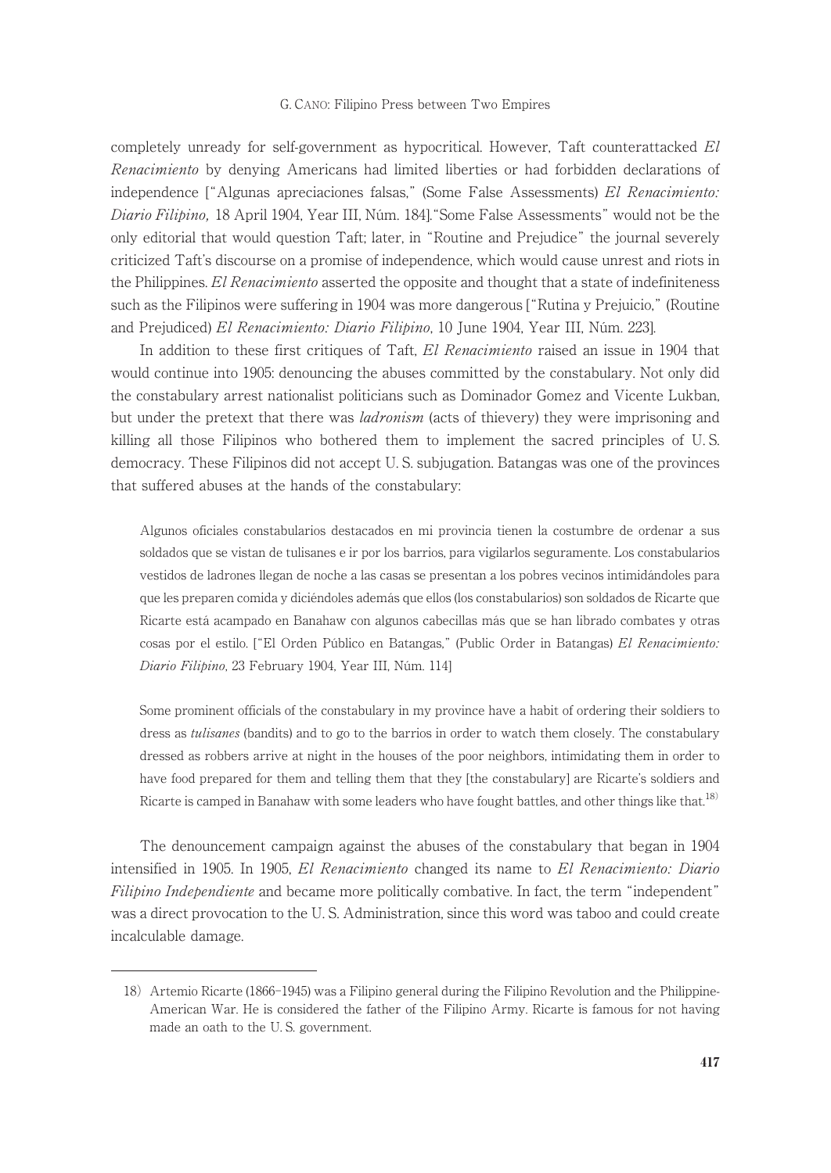completely unready for self-government as hypocritical. However, Taft counterattacked El Renacimiento by denying Americans had limited liberties or had forbidden declarations of independence ["Algunas apreciaciones falsas," (Some False Assessments) El Renacimiento: Diario Filipino, 18 April 1904, Year III, Núm. 1841, "Some False Assessments" would not be the only editorial that would question Taft; later, in "Routine and Prejudice" the journal severely criticized Taft's discourse on a promise of independence, which would cause unrest and riots in the Philippines. El Renacimiento asserted the opposite and thought that a state of indefiniteness such as the Filipinos were suffering in 1904 was more dangerous ["Rutina y Prejuicio," (Routine and Prejudiced) El Renacimiento: Diario Filipino, 10 June 1904, Year III, Núm. 223].

In addition to these first critiques of Taft, El Renacimiento raised an issue in 1904 that would continue into 1905: denouncing the abuses committed by the constabulary. Not only did the constabulary arrest nationalist politicians such as Dominador Gomez and Vicente Lukban, but under the pretext that there was *ladronism* (acts of thievery) they were imprisoning and killing all those Filipinos who bothered them to implement the sacred principles of U. S. democracy. These Filipinos did not accept U. S. subjugation. Batangas was one of the provinces that suffered abuses at the hands of the constabulary:

Algunos oficiales constabularios destacados en mi provincia tienen la costumbre de ordenar a sus soldados que se vistan de tulisanes e ir por los barrios, para vigilarlos seguramente. Los constabularios vestidos de ladrones llegan de noche a las casas se presentan a los pobres vecinos intimidándoles para que les preparen comida y diciéndoles además que ellos (los constabularios) son soldados de Ricarte que Ricarte está acampado en Banahaw con algunos cabecillas más que se han librado combates y otras cosas por el estilo. ["El Orden Público en Batangas," (Public Order in Batangas) El Renacimiento: Diario Filipino, 23 February 1904, Year III, Núm. 114]

Some prominent officials of the constabulary in my province have a habit of ordering their soldiers to dress as *tulisanes* (bandits) and to go to the barrios in order to watch them closely. The constabulary dressed as robbers arrive at night in the houses of the poor neighbors, intimidating them in order to have food prepared for them and telling them that they [the constabulary] are Ricarte's soldiers and Ricarte is camped in Banahaw with some leaders who have fought battles, and other things like that.<sup>18)</sup>

The denouncement campaign against the abuses of the constabulary that began in 1904 intensified in 1905. In 1905, El Renacimiento changed its name to El Renacimiento: Diario Filipino Independiente and became more politically combative. In fact, the term "independent" was a direct provocation to the U. S. Administration, since this word was taboo and could create incalculable damage.

<sup>18)</sup> Artemio Ricarte (1866-1945) was a Filipino general during the Filipino Revolution and the Philippine-American War. He is considered the father of the Filipino Army. Ricarte is famous for not having made an oath to the U. S. government.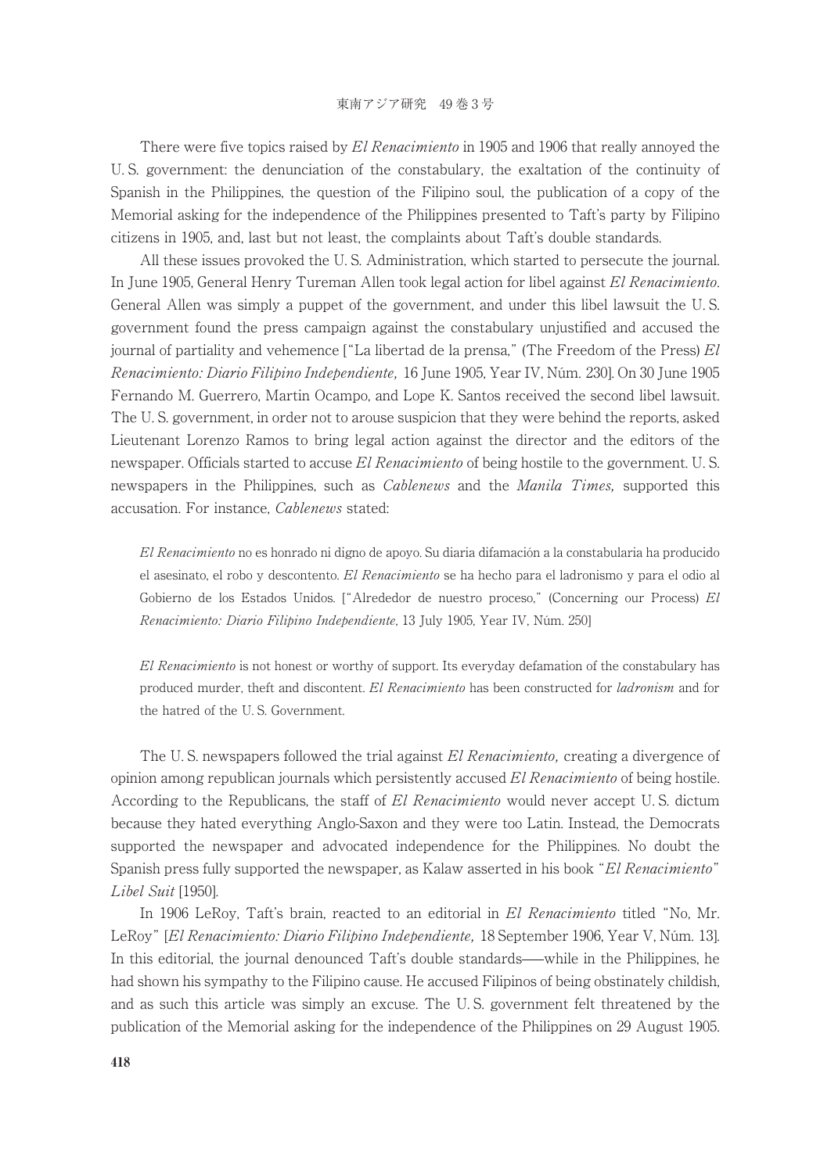There were five topics raised by El Renacimiento in 1905 and 1906 that really annoved the U. S. government: the denunciation of the constabulary, the exaltation of the continuity of Spanish in the Philippines, the question of the Filipino soul, the publication of a copy of the Memorial asking for the independence of the Philippines presented to Taft's party by Filipino citizens in 1905, and, last but not least, the complaints about Taft's double standards.

All these issues provoked the U. S. Administration, which started to persecute the journal. In June 1905, General Henry Tureman Allen took legal action for libel against El Renacimiento. General Allen was simply a puppet of the government, and under this libel lawsuit the U. S. government found the press campaign against the constabulary unjustified and accused the journal of partiality and vehemence  $\int u^2 L a$  libertad de la prensa," (The Freedom of the Press)  $El$ Renacimiento: Diario Filipino Independiente, 16 June 1905, Year IV, Núm. 230]. On 30 June 1905 Fernando M. Guerrero, Martin Ocampo, and Lope K. Santos received the second libel lawsuit. The U. S. government, in order not to arouse suspicion that they were behind the reports, asked Lieutenant Lorenzo Ramos to bring legal action against the director and the editors of the newspaper. Officials started to accuse El Renacimiento of being hostile to the government. U.S. newspapers in the Philippines, such as *Cablenews* and the *Manila Times*, supported this accusation. For instance, Cablenews stated:

El Renacimiento no es honrado ni digno de apoyo. Su diaria difamación a la constabularia ha producido el asesinato, el robo y descontento. El Renacimiento se ha hecho para el ladronismo y para el odio al Gobierno de los Estados Unidos. ["Alrededor de nuestro proceso," (Concerning our Process) El Renacimiento: Diario Filipino Independiente, 13 July 1905, Year IV, Núm. 250]

El Renacimiento is not honest or worthy of support. Its everyday defamation of the constabulary has produced murder, theft and discontent. El Renacimiento has been constructed for ladronism and for the hatred of the U. S. Government.

The U.S. newspapers followed the trial against El Renacimiento, creating a divergence of opinion among republican journals which persistently accused El Renacimiento of being hostile. According to the Republicans, the staff of El Renacimiento would never accept U.S. dictum because they hated everything Anglo-Saxon and they were too Latin. Instead, the Democrats supported the newspaper and advocated independence for the Philippines. No doubt the Spanish press fully supported the newspaper, as Kalaw asserted in his book "El Renacimiento" Libel Suit [1950].

In 1906 LeRoy, Taft's brain, reacted to an editorial in El Renacimiento titled "No, Mr. LeRoy" [El Renacimiento: Diario Filipino Independiente, 18 September 1906, Year V, Núm. 13]. In this editorial, the journal denounced Taft's double standards—while in the Philippines, he had shown his sympathy to the Filipino cause. He accused Filipinos of being obstinately childish, and as such this article was simply an excuse. The U. S. government felt threatened by the publication of the Memorial asking for the independence of the Philippines on 29 August 1905.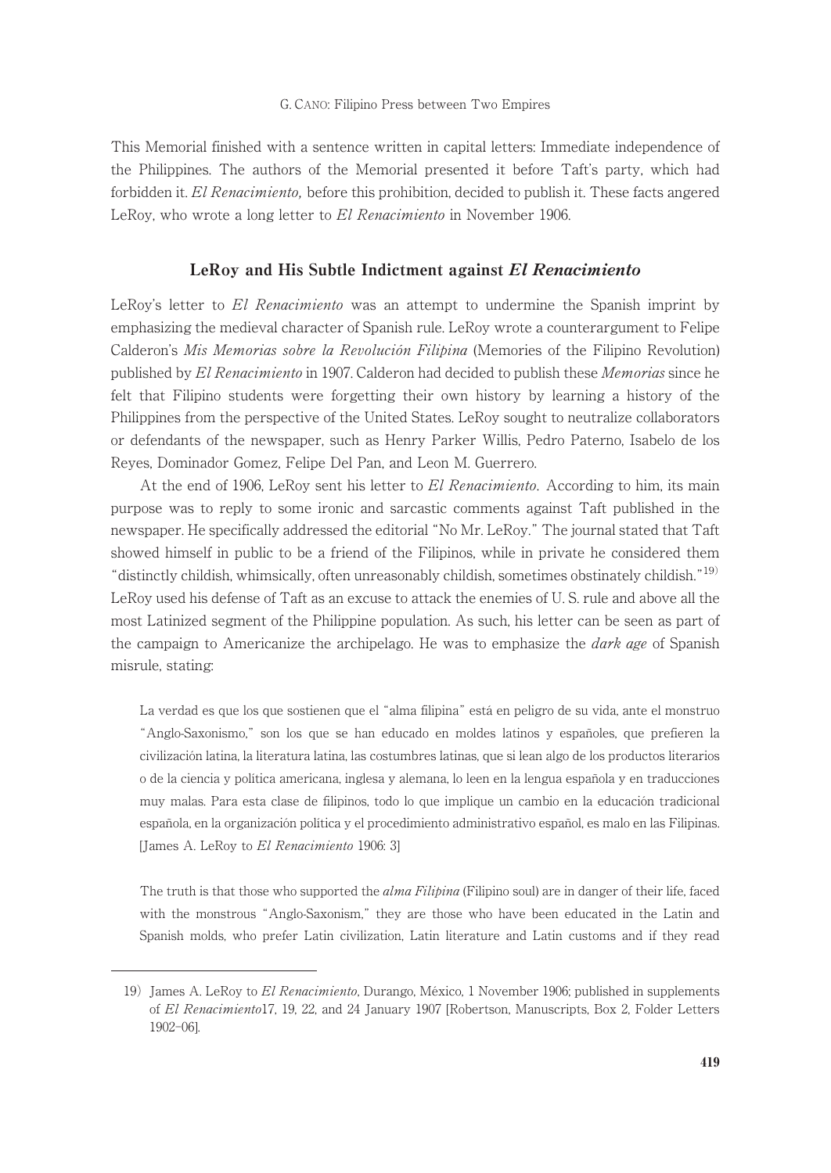This Memorial finished with a sentence written in capital letters: Immediate independence of the Philippines. The authors of the Memorial presented it before Taft's party, which had forbidden it. El Renacimiento, before this prohibition, decided to publish it. These facts angered LeRoy, who wrote a long letter to El Renacimiento in November 1906.

## LeRoy and His Subtle Indictment against El Renacimiento

LeRoy's letter to El Renacimiento was an attempt to undermine the Spanish imprint by emphasizing the medieval character of Spanish rule. LeRoy wrote a counterargument to Felipe Calderon's Mis Memorias sobre la Revolución Filipina (Memories of the Filipino Revolution) published by El Renacimiento in 1907. Calderon had decided to publish these Memorias since he felt that Filipino students were forgetting their own history by learning a history of the Philippines from the perspective of the United States. LeRoy sought to neutralize collaborators or defendants of the newspaper, such as Henry Parker Willis, Pedro Paterno, Isabelo de los Reyes, Dominador Gomez, Felipe Del Pan, and Leon M. Guerrero.

At the end of 1906, LeRoy sent his letter to El Renacimiento. According to him, its main purpose was to reply to some ironic and sarcastic comments against Taft published in the newspaper. He specifically addressed the editorial "No Mr. LeRoy." The journal stated that Taft showed himself in public to be a friend of the Filipinos, while in private he considered them "distinctly childish, whimsically, often unreasonably childish, sometimes obstinately childish."19) LeRoy used his defense of Taft as an excuse to attack the enemies of U. S. rule and above all the most Latinized segment of the Philippine population. As such, his letter can be seen as part of the campaign to Americanize the archipelago. He was to emphasize the *dark age* of Spanish misrule, stating:

La verdad es que los que sostienen que el "alma filipina" está en peligro de su vida, ante el monstruo "Anglo-Saxonismo," son los que se han educado en moldes latinos y españoles, que prefieren la civilización latina, la literatura latina, las costumbres latinas, que si lean algo de los productos literarios o de la ciencia y política americana, inglesa y alemana, lo leen en la lengua española y en traducciones muy malas. Para esta clase de filipinos, todo lo que implique un cambio en la educación tradicional española, en la organización política y el procedimiento administrativo español, es malo en las Filipinas. [James A. LeRoy to El Renacimiento 1906: 3]

The truth is that those who supported the *alma Filipina* (Filipino soul) are in danger of their life, faced with the monstrous "Anglo-Saxonism," they are those who have been educated in the Latin and Spanish molds, who prefer Latin civilization, Latin literature and Latin customs and if they read

<sup>19)</sup> James A. LeRoy to El Renacimiento, Durango, México, 1 November 1906; published in supplements of El Renacimiento17, 19, 22, and 24 January 1907 [Robertson, Manuscripts, Box 2, Folder Letters 1902-06].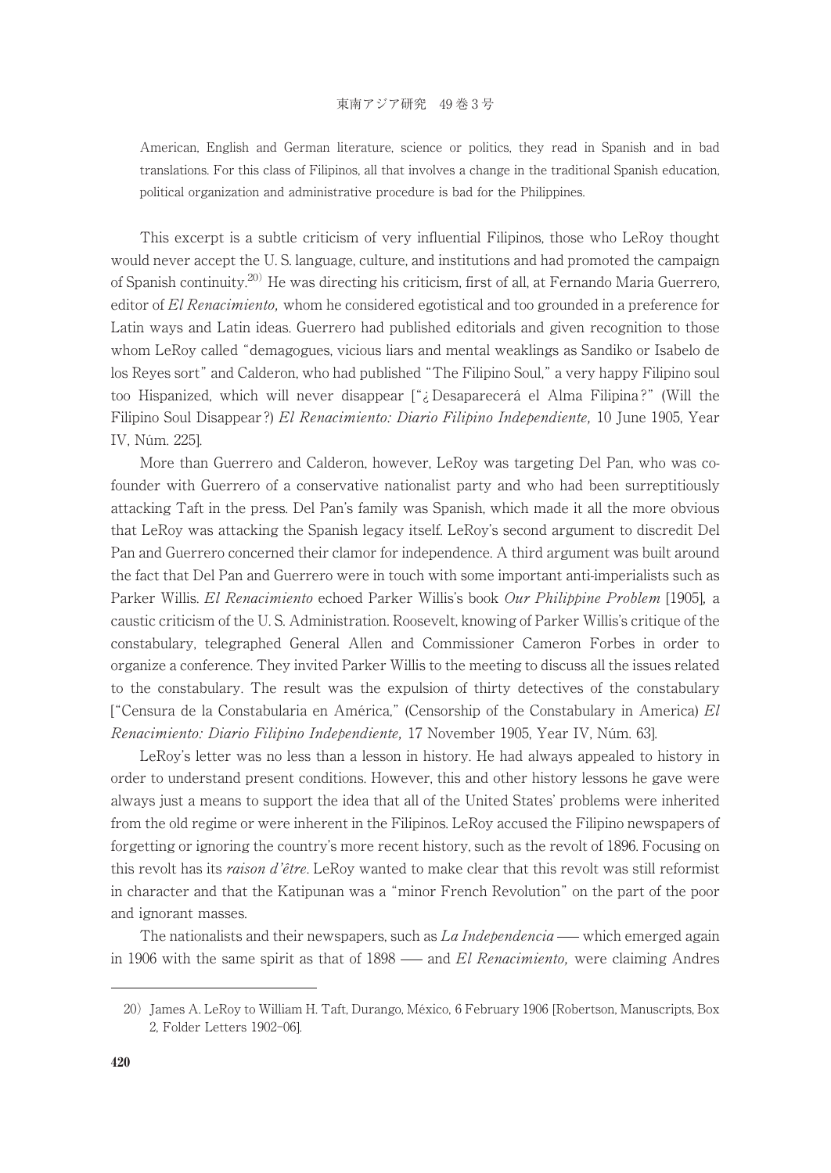American, English and German literature, science or politics, they read in Spanish and in bad translations. For this class of Filipinos, all that involves a change in the traditional Spanish education, political organization and administrative procedure is bad for the Philippines.

This excerpt is a subtle criticism of very influential Filipinos, those who LeRoy thought would never accept the U. S. language, culture, and institutions and had promoted the campaign of Spanish continuity.<sup>20)</sup> He was directing his criticism, first of all, at Fernando Maria Guerrero, editor of El Renacimiento, whom he considered egotistical and too grounded in a preference for Latin ways and Latin ideas. Guerrero had published editorials and given recognition to those whom LeRoy called "demagogues, vicious liars and mental weaklings as Sandiko or Isabelo de los Reyes sort" and Calderon, who had published "The Filipino Soul," a very happy Filipino soul too Hispanized, which will never disappear ["¿ Desaparecerá el Alma Filipina ?" (Will the Filipino Soul Disappear ?) El Renacimiento: Diario Filipino Independiente, 10 June 1905, Year IV, Núm. 225].

More than Guerrero and Calderon, however, LeRoy was targeting Del Pan, who was cofounder with Guerrero of a conservative nationalist party and who had been surreptitiously attacking Taft in the press. Del Pan's family was Spanish, which made it all the more obvious that LeRoy was attacking the Spanish legacy itself. LeRoy's second argument to discredit Del Pan and Guerrero concerned their clamor for independence. Athird argument was built around the fact that Del Pan and Guerrero were in touch with some important anti-imperialists such as Parker Willis. El Renacimiento echoed Parker Willis's book Our Philippine Problem [1905], a caustic criticism of the U. S. Administration. Roosevelt, knowing of Parker Willis's critique of the constabulary, telegraphed General Allen and Commissioner Cameron Forbes in order to organize a conference. They invited Parker Willis to the meeting to discuss all the issues related to the constabulary. The result was the expulsion of thirty detectives of the constabulary ["Censura de la Constabularia en América," (Censorship of the Constabulary in America)  $El$ Renacimiento: Diario Filipino Independiente, 17 November 1905, Year IV, Núm. 63].

LeRoy's letter was no less than a lesson in history. He had always appealed to history in order to understand present conditions. However, this and other history lessons he gave were always just a means to support the idea that all of the United States' problems were inherited from the old regime or were inherent in the Filipinos. LeRoy accused the Filipino newspapers of forgetting or ignoring the country's more recent history, such as the revolt of 1896. Focusing on this revolt has its *raison d'être*. LeRoy wanted to make clear that this revolt was still reformist in character and that the Katipunan was a "minor French Revolution" on the part of the poor and ignorant masses.

The nationalists and their newspapers, such as  $La Independencia$  — which emerged again in 1906 with the same spirit as that of  $1898$  — and El Renacimiento, were claiming Andres

<sup>20)</sup> James A. LeRoy to William H. Taft, Durango, México, 6 February 1906 [Robertson, Manuscripts, Box 2, Folder Letters 1902-06].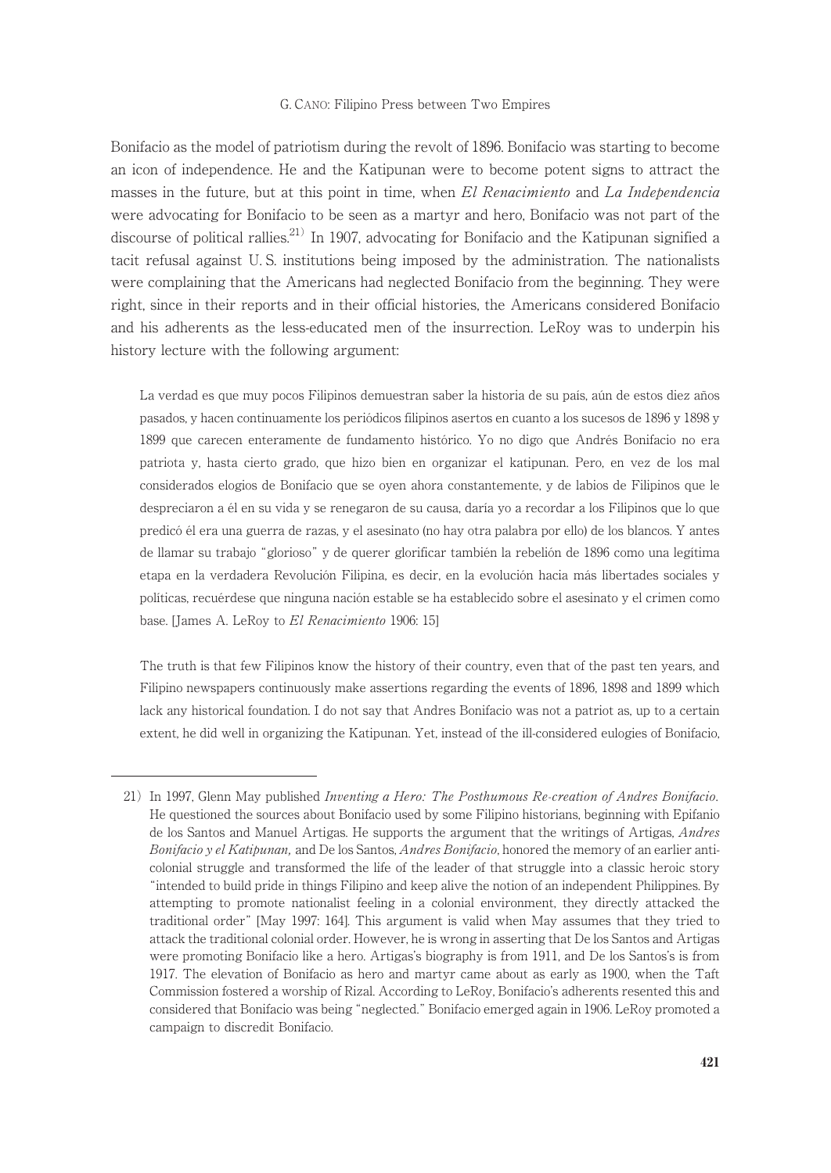Bonifacio as the model of patriotism during the revolt of 1896. Bonifacio was starting to become an icon of independence. He and the Katipunan were to become potent signs to attract the masses in the future, but at this point in time, when El Renacimiento and La Independencia were advocating for Bonifacio to be seen as a martyr and hero, Bonifacio was not part of the discourse of political rallies.<sup>21)</sup> In 1907, advocating for Bonifacio and the Katipunan signified a tacit refusal against U. S. institutions being imposed by the administration. The nationalists were complaining that the Americans had neglected Bonifacio from the beginning. They were right, since in their reports and in their official histories, the Americans considered Bonifacio and his adherents as the less-educated men of the insurrection. LeRoy was to underpin his history lecture with the following argument:

La verdad es que muy pocos Filipinos demuestran saber la historia de su país, aún de estos diez años pasados, y hacen continuamente los periódicos filipinos asertos en cuanto a los sucesos de 1896 y 1898 y 1899 que carecen enteramente de fundamento histórico. Yo no digo que Andrés Bonifacio no era patriota y, hasta cierto grado, que hizo bien en organizar el katipunan. Pero, en vez de los mal considerados elogios de Bonifacio que se oyen ahora constantemente, y de labios de Filipinos que le despreciaron a él en su vida y se renegaron de su causa, daría yo a recordar a los Filipinos que lo que predicó él era una guerra de razas, y el asesinato (no hay otra palabra por ello) de los blancos. Y antes de llamar su trabajo "glorioso" y de querer glorificar también la rebelión de 1896 como una legítima etapa en la verdadera Revolución Filipina, es decir, en la evolución hacia más libertades sociales y políticas, recuérdese que ninguna nación estable se ha establecido sobre el asesinato y el crimen como base. [James A. LeRoy to El Renacimiento 1906: 15]

The truth is that few Filipinos know the history of their country, even that of the past ten years, and Filipino newspapers continuously make assertions regarding the events of 1896, 1898 and 1899 which lack any historical foundation. I do not say that Andres Bonifacio was not a patriot as, up to a certain extent, he did well in organizing the Katipunan. Yet, instead of the ill-considered eulogies of Bonifacio,

<sup>21)</sup> In 1997, Glenn May published Inventing a Hero: The Posthumous Re-creation of Andres Bonifacio. He questioned the sources about Bonifacio used by some Filipino historians, beginning with Epifanio de los Santos and Manuel Artigas. He supports the argument that the writings of Artigas, *Andres* Bonifacio y el Katipunan, and De los Santos, Andres Bonifacio, honored the memory of an earlier anticolonial struggle and transformed the life of the leader of that struggle into a classic heroic story "intended to build pride in things Filipino and keep alive the notion of an independent Philippines. By attempting to promote nationalist feeling in a colonial environment, they directly attacked the traditional order" [May 1997: 164]. This argument is valid when May assumes that they tried to attack the traditional colonial order. However, he is wrong in asserting that De los Santos and Artigas were promoting Bonifacio like a hero. Artigas's biography is from 1911, and De los Santos's is from 1917. The elevation of Bonifacio as hero and martyr came about as early as 1900, when the Taft Commission fostered a worship of Rizal. According to LeRoy, Bonifacio's adherents resented this and considered that Bonifacio was being "neglected." Bonifacio emerged again in 1906. LeRoy promoted a campaign to discredit Bonifacio.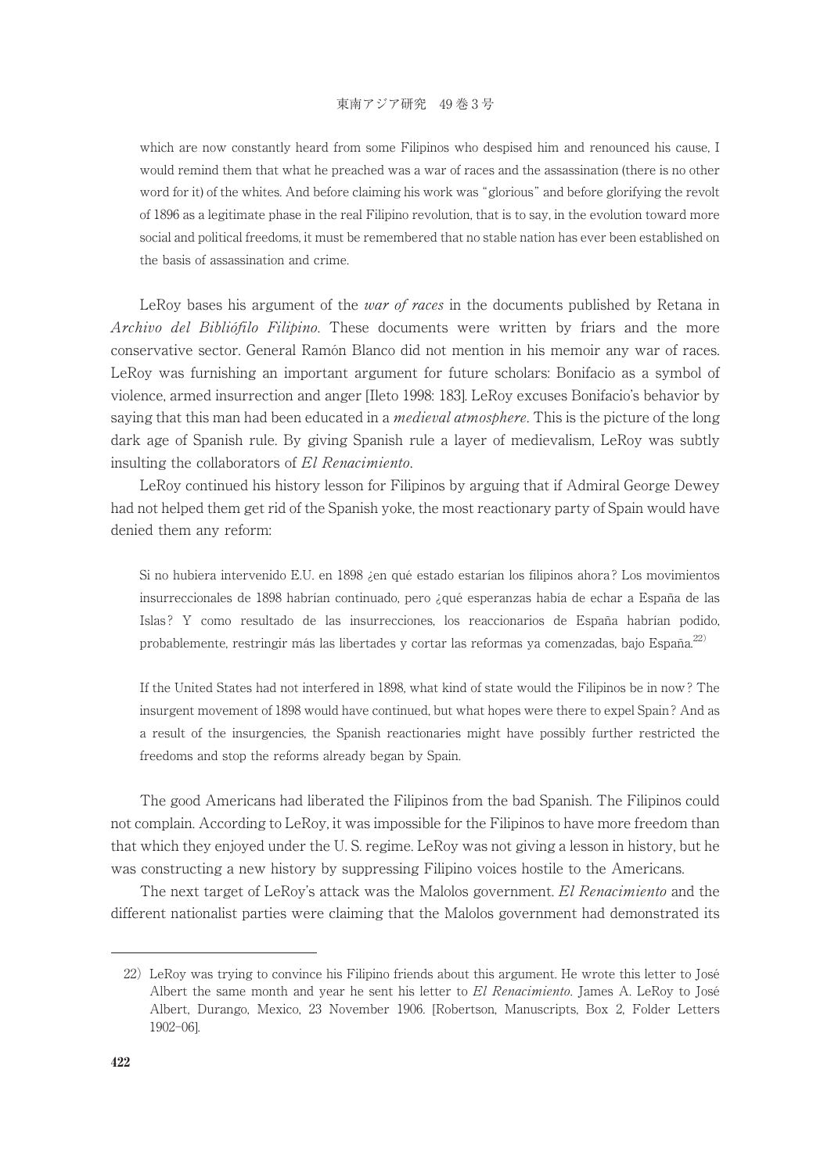which are now constantly heard from some Filipinos who despised him and renounced his cause, I would remind them that what he preached was a war of races and the assassination (there is no other word for it) of the whites. And before claiming his work was "glorious" and before glorifying the revolt of 1896 as a legitimate phase in the real Filipino revolution, that is to say, in the evolution toward more social and political freedoms, it must be remembered that no stable nation has ever been established on the basis of assassination and crime.

LeRoy bases his argument of the *war of races* in the documents published by Retana in Archivo del Bibliófilo Filipino. These documents were written by friars and the more conservative sector. General Ramón Blanco did not mention in his memoir any war of races. LeRoy was furnishing an important argument for future scholars: Bonifacio as a symbol of violence, armed insurrection and anger [Ileto 1998: 183]. LeRoy excuses Bonifacio's behavior by saying that this man had been educated in a *medieval atmosphere*. This is the picture of the long dark age of Spanish rule. By giving Spanish rule a layer of medievalism, LeRoy was subtly insulting the collaborators of El Renacimiento.

LeRoy continued his history lesson for Filipinos by arguing that if Admiral George Dewey had not helped them get rid of the Spanish yoke, the most reactionary party of Spain would have denied them any reform:

Si no hubiera intervenido E.U. en 1898 ¿en qué estado estarían los filipinos ahora ? Los movimientos insurreccionales de 1898 habrían continuado, pero ¿qué esperanzas había de echar a España de las Islas ? Y como resultado de las insurrecciones, los reaccionarios de España habrían podido, probablemente, restringir más las libertades y cortar las reformas ya comenzadas, bajo España.<sup>22)</sup>

If the United States had not interfered in 1898, what kind of state would the Filipinos be in now ? The insurgent movement of 1898 would have continued, but what hopes were there to expel Spain ? And as a result of the insurgencies, the Spanish reactionaries might have possibly further restricted the freedoms and stop the reforms already began by Spain.

The good Americans had liberated the Filipinos from the bad Spanish. The Filipinos could not complain. According to LeRoy, it was impossible for the Filipinos to have more freedom than that which they enjoyed under the U. S. regime. LeRoy was not giving a lesson in history, but he was constructing a new history by suppressing Filipino voices hostile to the Americans.

The next target of LeRoy's attack was the Malolos government. El Renacimiento and the different nationalist parties were claiming that the Malolos government had demonstrated its

<sup>22)</sup> LeRoy was trying to convince his Filipino friends about this argument. He wrote this letter to José Albert the same month and year he sent his letter to El Renacimiento. James A. LeRoy to José Albert, Durango, Mexico, 23 November 1906. [Robertson, Manuscripts, Box 2, Folder Letters 1902-06].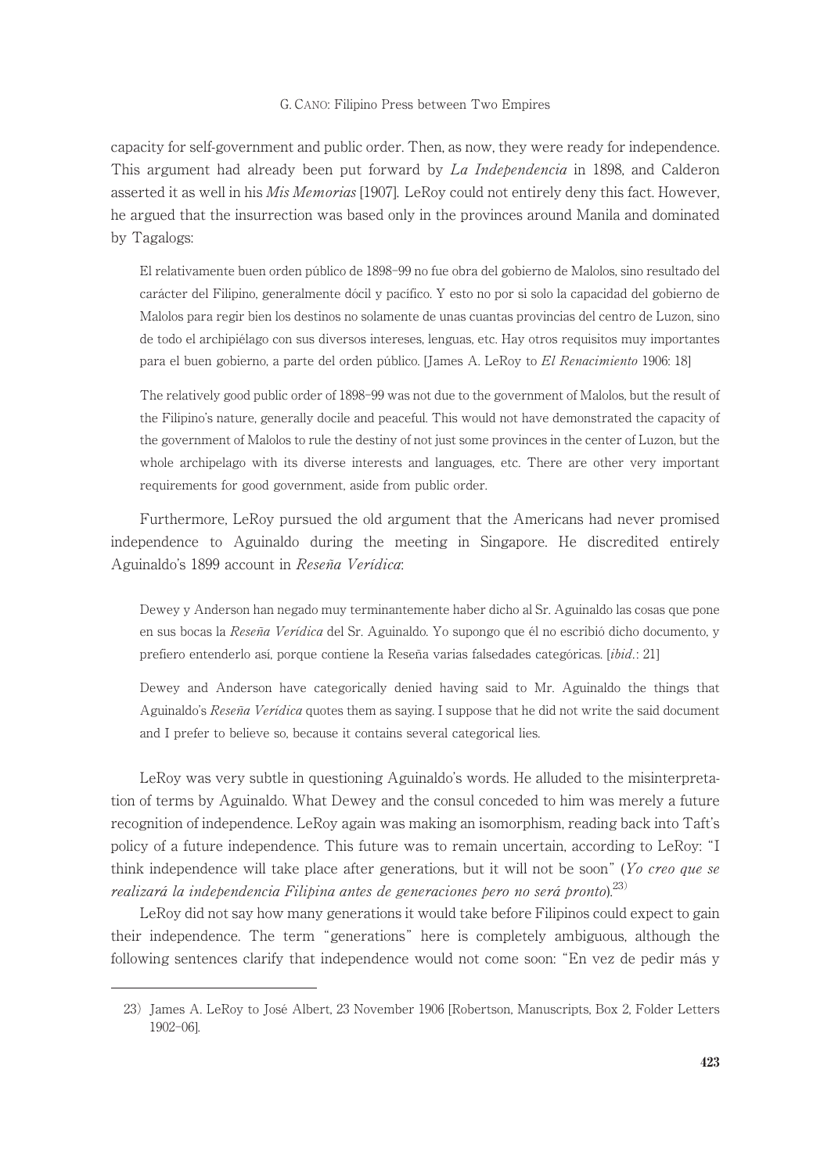capacity for self-government and public order. Then, as now, they were ready for independence. This argument had already been put forward by La Independencia in 1898, and Calderon asserted it as well in his *Mis Memorias* [1907]. LeRoy could not entirely deny this fact. However, he argued that the insurrection was based only in the provinces around Manila and dominated by Tagalogs:

El relativamente buen orden público de 1898-99 no fue obra del gobierno de Malolos, sino resultado del carácter del Filipino, generalmente dócil y pacífico. Y esto no por si solo la capacidad del gobierno de Malolos para regir bien los destinos no solamente de unas cuantas provincias del centro de Luzon, sino de todo el archipiélago con sus diversos intereses, lenguas, etc. Hay otros requisitos muy importantes para el buen gobierno, a parte del orden público. [James A. LeRoy to El Renacimiento 1906: 18]

The relatively good public order of 1898-99 was not due to the government of Malolos, but the result of the Filipino's nature, generally docile and peaceful. This would not have demonstrated the capacity of the government of Malolos to rule the destiny of not just some provinces in the center of Luzon, but the whole archipelago with its diverse interests and languages, etc. There are other very important requirements for good government, aside from public order.

Furthermore, LeRoy pursued the old argument that the Americans had never promised independence to Aguinaldo during the meeting in Singapore. He discredited entirely Aguinaldo's 1899 account in Reseña Verídica:

Dewey y Anderson han negado muy terminantemente haber dicho al Sr. Aguinaldo las cosas que pone en sus bocas la Reseña Verídica del Sr. Aguinaldo. Yo supongo que él no escribió dicho documento, y prefiero entenderlo así, porque contiene la Reseña varias falsedades categóricas. [ibid.: 21]

Dewey and Anderson have categorically denied having said to Mr. Aguinaldo the things that Aguinaldo's Reseña Verídica quotes them as saying. I suppose that he did not write the said document and I prefer to believe so, because it contains several categorical lies.

LeRoy was very subtle in questioning Aguinaldo's words. He alluded to the misinterpretation of terms by Aguinaldo. What Dewey and the consul conceded to him was merely a future recognition of independence. LeRoy again was making an isomorphism, reading back into Taft's policy of a future independence. This future was to remain uncertain, according to LeRoy: "I think independence will take place after generations, but it will not be soon" (Yo creo que se realizará la independencia Filipina antes de generaciones pero no será pronto). $^{23)}$ 

LeRoy did not say how many generations it would take before Filipinos could expect to gain their independence. The term "generations" here is completely ambiguous, although the following sentences clarify that independence would not come soon: "En vez de pedir más y

<sup>23)</sup> James A. LeRoy to José Albert, 23 November 1906 [Robertson, Manuscripts, Box 2, Folder Letters 1902-06].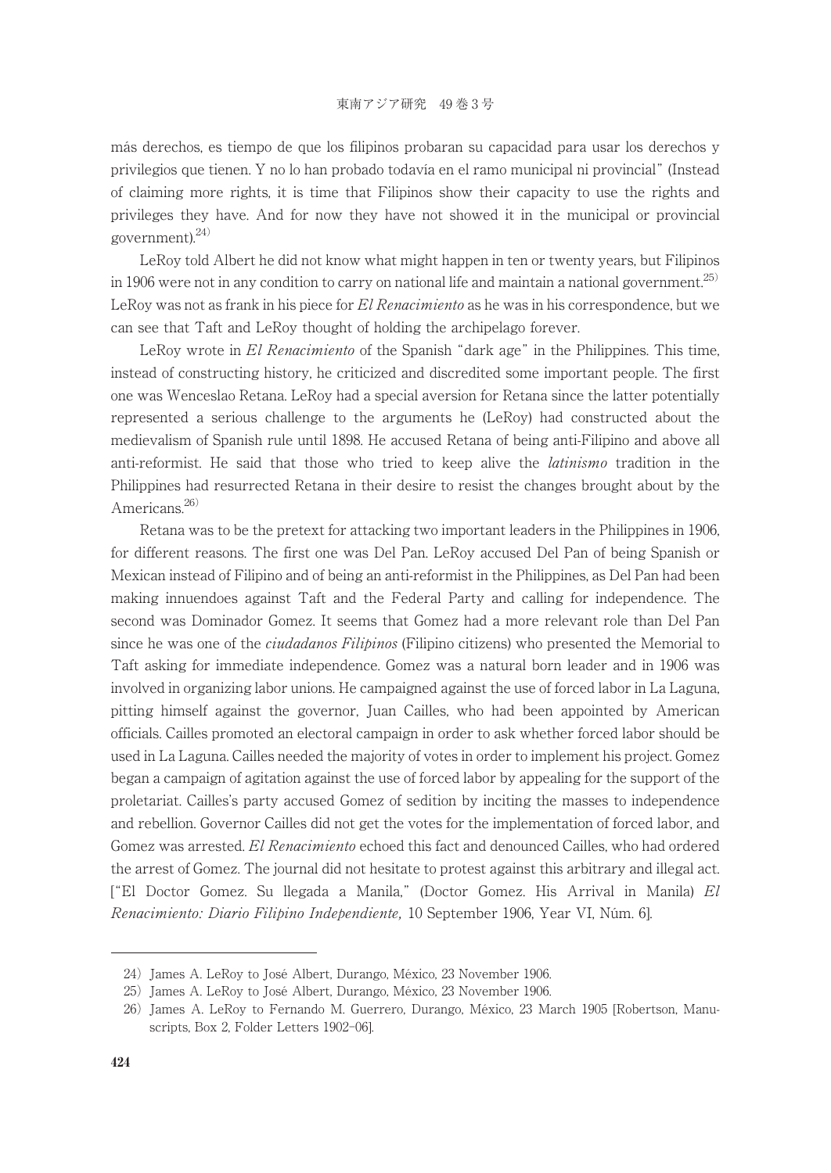más derechos, es tiempo de que los filipinos probaran su capacidad para usar los derechos y privilegios que tienen. Y no lo han probado todavía en el ramo municipal ni provincial" (Instead of claiming more rights, it is time that Filipinos show their capacity to use the rights and privileges they have. And for now they have not showed it in the municipal or provincial government). $^{24)}$ 

LeRoy told Albert he did not know what might happen in ten or twenty years, but Filipinos in 1906 were not in any condition to carry on national life and maintain a national government.<sup>25)</sup> LeRoy was not as frank in his piece for El Renacimiento as he was in his correspondence, but we can see that Taft and LeRoy thought of holding the archipelago forever.

LeRoy wrote in El Renacimiento of the Spanish "dark age" in the Philippines. This time, instead of constructing history, he criticized and discredited some important people. The first one was Wenceslao Retana. LeRoy had a special aversion for Retana since the latter potentially represented a serious challenge to the arguments he (LeRoy) had constructed about the medievalism of Spanish rule until 1898. He accused Retana of being anti-Filipino and above all anti-reformist. He said that those who tried to keep alive the latinismo tradition in the Philippines had resurrected Retana in their desire to resist the changes brought about by the Americans.<sup>26)</sup>

Retana was to be the pretext for attacking two important leaders in the Philippines in 1906, for different reasons. The first one was Del Pan. LeRoy accused Del Pan of being Spanish or Mexican instead of Filipino and of being an anti-reformist in the Philippines, as Del Pan had been making innuendoes against Taft and the Federal Party and calling for independence. The second was Dominador Gomez. It seems that Gomez had a more relevant role than Del Pan since he was one of the *ciudadanos Filipinos* (Filipino citizens) who presented the Memorial to Taft asking for immediate independence. Gomez was a natural born leader and in 1906 was involved in organizing labor unions. He campaigned against the use of forced labor in La Laguna, pitting himself against the governor, Juan Cailles, who had been appointed by American officials. Cailles promoted an electoral campaign in order to ask whether forced labor should be used in La Laguna. Cailles needed the majority of votes in order to implement his project. Gomez began a campaign of agitation against the use of forced labor by appealing for the support of the proletariat. Cailles's party accused Gomez of sedition by inciting the masses to independence and rebellion. Governor Cailles did not get the votes for the implementation of forced labor, and Gomez was arrested. El Renacimiento echoed this fact and denounced Cailles, who had ordered the arrest of Gomez. The journal did not hesitate to protest against this arbitrary and illegal act. ["El Doctor Gomez. Su llegada a Manila," (Doctor Gomez. His Arrival in Manila) El Renacimiento: Diario Filipino Independiente, 10 September 1906, Year VI, Núm. 6].

<sup>24)</sup> James A. LeRoy to José Albert, Durango, México, 23 November 1906.

<sup>25)</sup> James A. LeRoy to José Albert, Durango, México, 23 November 1906.

<sup>26)</sup> James A. LeRoy to Fernando M. Guerrero, Durango, México, 23 March 1905 [Robertson, Manuscripts, Box 2, Folder Letters 1902-06].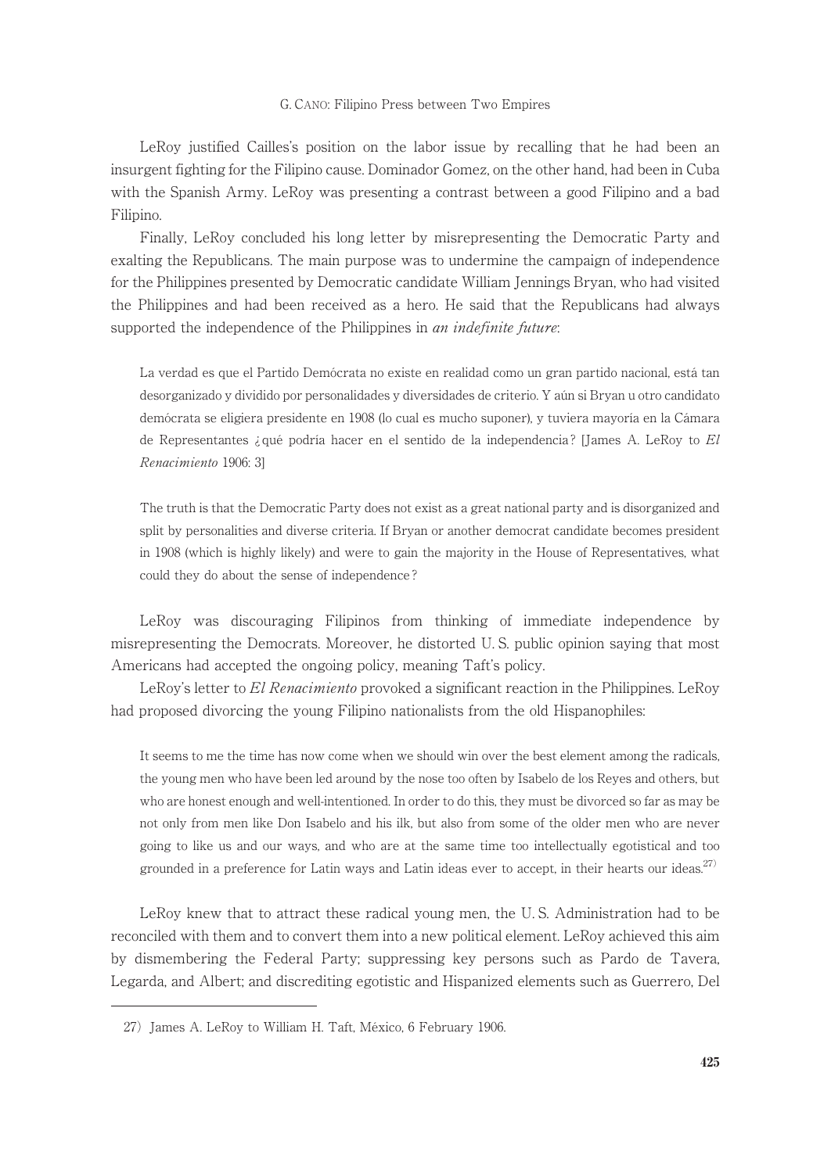LeRoy justified Cailles's position on the labor issue by recalling that he had been an insurgent fighting for the Filipino cause. Dominador Gomez, on the other hand, had been in Cuba with the Spanish Army. LeRoy was presenting a contrast between a good Filipino and a bad Filipino.

Finally, LeRoy concluded his long letter by misrepresenting the Democratic Party and exalting the Republicans. The main purpose was to undermine the campaign of independence for the Philippines presented by Democratic candidate William Jennings Bryan, who had visited the Philippines and had been received as a hero. He said that the Republicans had always supported the independence of the Philippines in *an indefinite future*:

La verdad es que el Partido Demócrata no existe en realidad como un gran partido nacional, está tan desorganizado y dividido por personalidades y diversidades de criterio. Y aún si Bryan u otro candidato demócrata se eligiera presidente en 1908 (lo cual es mucho suponer), y tuviera mayoría en la Cámara de Representantes ¿ qué podría hacer en el sentido de la independencia ? [James A. LeRoy to El Renacimiento 1906: 3]

The truth is that the Democratic Party does not exist as a great national party and is disorganized and split by personalities and diverse criteria. If Bryan or another democrat candidate becomes president in 1908 (which is highly likely) and were to gain the majority in the House of Representatives, what could they do about the sense of independence ?

LeRoy was discouraging Filipinos from thinking of immediate independence by misrepresenting the Democrats. Moreover, he distorted U. S. public opinion saying that most Americans had accepted the ongoing policy, meaning Taft's policy.

LeRoy's letter to El Renacimiento provoked a significant reaction in the Philippines. LeRoy had proposed divorcing the young Filipino nationalists from the old Hispanophiles:

It seems to me the time has now come when we should win over the best element among the radicals, the young men who have been led around by the nose too often by Isabelo de los Reyes and others, but who are honest enough and well-intentioned. In order to do this, they must be divorced so far as may be not only from men like Don Isabelo and his ilk, but also from some of the older men who are never going to like us and our ways, and who are at the same time too intellectually egotistical and too grounded in a preference for Latin ways and Latin ideas ever to accept, in their hearts our ideas.<sup>27)</sup>

LeRoy knew that to attract these radical young men, the U. S. Administration had to be reconciled with them and to convert them into a new political element. LeRoy achieved this aim by dismembering the Federal Party; suppressing key persons such as Pardo de Tavera, Legarda, and Albert; and discrediting egotistic and Hispanized elements such as Guerrero, Del

<sup>27)</sup> James A. LeRoy to William H. Taft, México, 6 February 1906.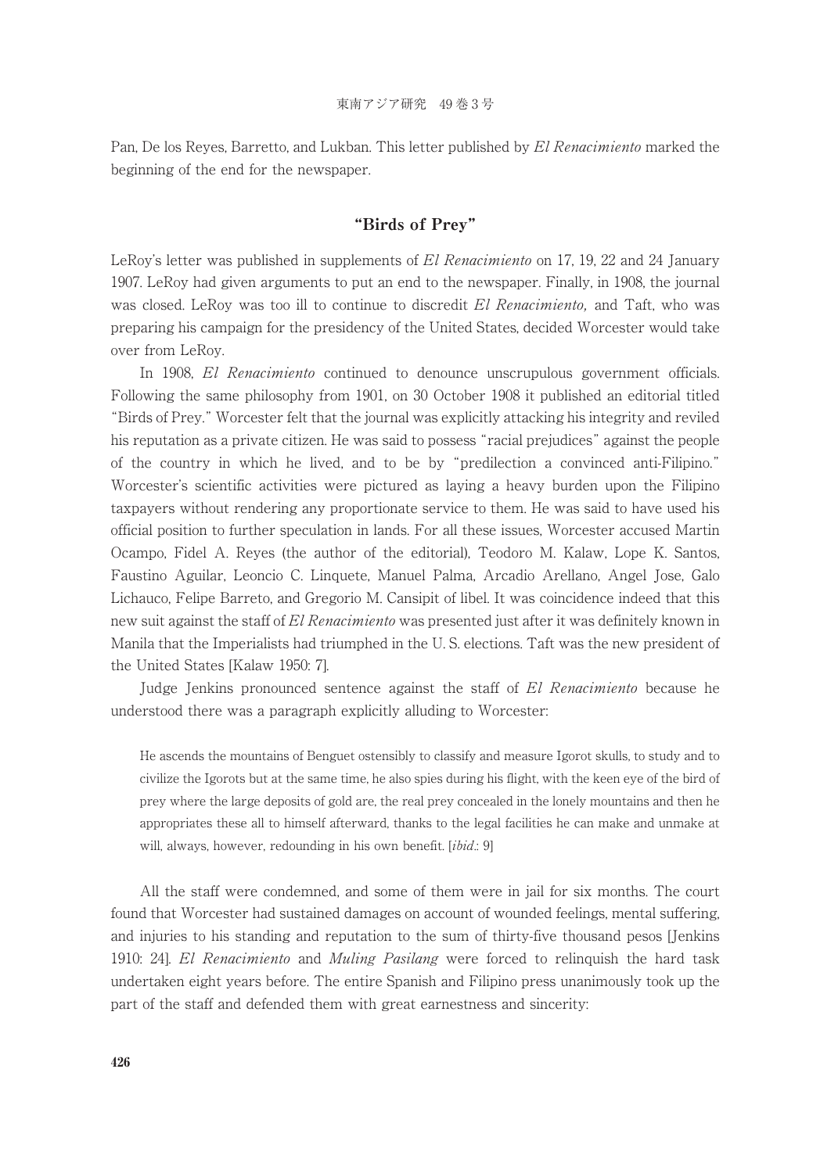Pan, De los Reves, Barretto, and Lukban. This letter published by El Renacimiento marked the beginning of the end for the newspaper.

# "Birds of Prey"

LeRoy's letter was published in supplements of El Renacimiento on 17, 19, 22 and 24 January 1907. LeRoy had given arguments to put an end to the newspaper. Finally, in 1908, the journal was closed. LeRoy was too ill to continue to discredit El Renacimiento, and Taft, who was preparing his campaign for the presidency of the United States, decided Worcester would take over from LeRoy.

In 1908, El Renacimiento continued to denounce unscrupulous government officials. Following the same philosophy from 1901, on 30 October 1908 it published an editorial titled "Birds of Prey." Worcester felt that the journal was explicitly attacking his integrity and reviled his reputation as a private citizen. He was said to possess "racial prejudices" against the people of the country in which he lived, and to be by "predilection a convinced anti-Filipino." Worcester's scientific activities were pictured as laying a heavy burden upon the Filipino taxpayers without rendering any proportionate service to them. He was said to have used his official position to further speculation in lands. For all these issues, Worcester accused Martin Ocampo, Fidel A. Reyes (the author of the editorial), Teodoro M. Kalaw, Lope K. Santos, Faustino Aguilar, Leoncio C. Linquete, Manuel Palma, Arcadio Arellano, Angel Jose, Galo Lichauco, Felipe Barreto, and Gregorio M. Cansipit of libel. It was coincidence indeed that this new suit against the staff of El Renacimiento was presented just after it was definitely known in Manila that the Imperialists had triumphed in the U. S. elections. Taft was the new president of the United States [Kalaw 1950: 7].

Judge Jenkins pronounced sentence against the staff of El Renacimiento because he understood there was a paragraph explicitly alluding to Worcester:

He ascends the mountains of Benguet ostensibly to classify and measure Igorot skulls, to study and to civilize the Igorots but at the same time, he also spies during his flight, with the keen eye of the bird of prey where the large deposits of gold are, the real prey concealed in the lonely mountains and then he appropriates these all to himself afterward, thanks to the legal facilities he can make and unmake at will, always, however, redounding in his own benefit. [ibid.: 9]

All the staff were condemned, and some of them were in jail for six months. The court found that Worcester had sustained damages on account of wounded feelings, mental suffering, and injuries to his standing and reputation to the sum of thirty-five thousand pesos [Jenkins 1910: 24]. El Renacimiento and Muling Pasilang were forced to relinquish the hard task undertaken eight years before. The entire Spanish and Filipino press unanimously took up the part of the staff and defended them with great earnestness and sincerity: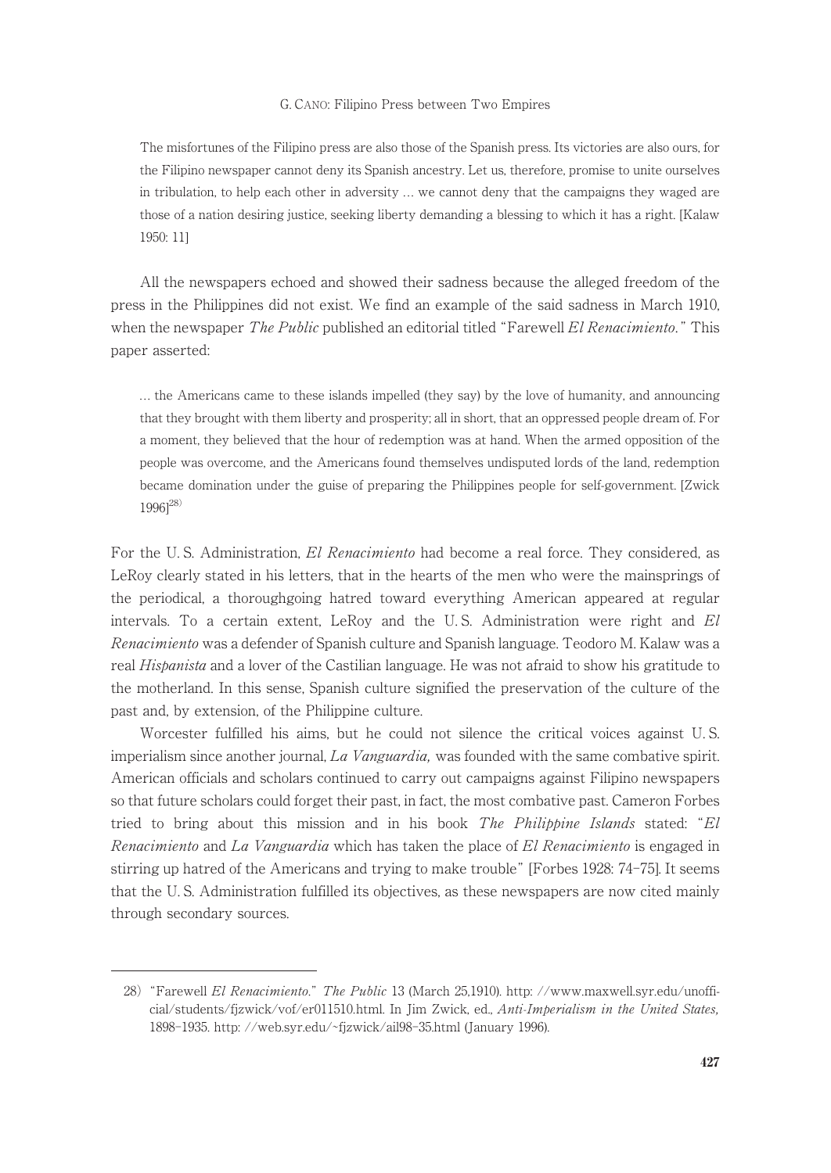The misfortunes of the Filipino press are also those of the Spanish press. Its victories are also ours, for the Filipino newspaper cannot deny its Spanish ancestry. Let us, therefore, promise to unite ourselves in tribulation, to help each other in adversity ... we cannot deny that the campaigns they waged are those of a nation desiring justice, seeking liberty demanding a blessing to which it has a right. [Kalaw 1950: 11]

All the newspapers echoed and showed their sadness because the alleged freedom of the press in the Philippines did not exist. We find an example of the said sadness in March 1910, when the newspaper *The Public* published an editorial titled "Farewell *El Renacimiento*." This paper asserted:

. . . the Americans came to these islands impelled (they say) by the love of humanity, and announcing that they brought with them liberty and prosperity; all in short, that an oppressed people dream of. For a moment, they believed that the hour of redemption was at hand. When the armed opposition of the people was overcome, and the Americans found themselves undisputed lords of the land, redemption became domination under the guise of preparing the Philippines people for self-government. [Zwick  $1996$ <sup>[28)</sup>

For the U.S. Administration, El Renacimiento had become a real force. They considered, as LeRoy clearly stated in his letters, that in the hearts of the men who were the mainsprings of the periodical, a thoroughgoing hatred toward everything American appeared at regular intervals. To a certain extent, LeRoy and the U. S. Administration were right and El Renacimiento was a defender of Spanish culture and Spanish language. Teodoro M. Kalaw was a real Hispanista and a lover of the Castilian language. He was not afraid to show his gratitude to the motherland. In this sense, Spanish culture signified the preservation of the culture of the past and, by extension, of the Philippine culture.

Worcester fulfilled his aims, but he could not silence the critical voices against U. S. imperialism since another journal, La Vanguardia, was founded with the same combative spirit. American officials and scholars continued to carry out campaigns against Filipino newspapers so that future scholars could forget their past, in fact, the most combative past. Cameron Forbes tried to bring about this mission and in his book *The Philippine Islands* stated: "El Renacimiento and La Vanguardia which has taken the place of El Renacimiento is engaged in stirring up hatred of the Americans and trying to make trouble" [Forbes 1928: 74-75]. It seems that the U. S. Administration fulfilled its objectives, as these newspapers are now cited mainly through secondary sources.

<sup>28) &</sup>quot;Farewell El Renacimiento." The Public 13 (March 25,1910). http://www.maxwell.syr.edu/unofficial/students/fjzwick/vof/er011510.html. In Jim Zwick, ed., Anti-Imperialism in the United States, 1898-1935. http: //web.syr.edu/˜fjzwick/ail98-35.html (January 1996).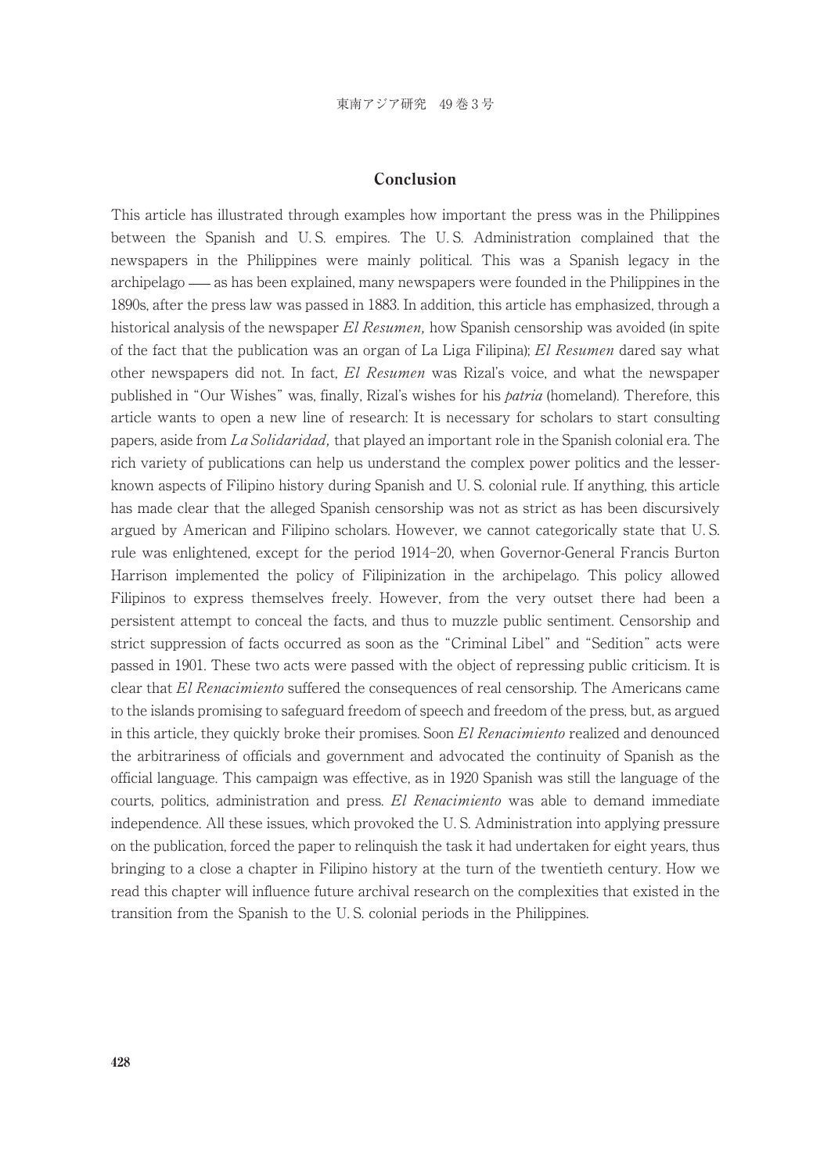## Conclusion

This article has illustrated through examples how important the press was in the Philippines between the Spanish and U. S. empires. The U. S. Administration complained that the newspapers in the Philippines were mainly political. This was a Spanish legacy in the archipelago — as has been explained, many newspapers were founded in the Philippines in the 1890s, after the press law was passed in 1883. In addition, this article has emphasized, through a historical analysis of the newspaper El Resumen, how Spanish censorship was avoided (in spite of the fact that the publication was an organ of La Liga Filipina); El Resumen dared say what other newspapers did not. In fact, El Resumen was Rizal's voice, and what the newspaper published in "Our Wishes" was, finally, Rizal's wishes for his *patria* (homeland). Therefore, this article wants to open a new line of research: It is necessary for scholars to start consulting papers, aside from La Solidaridad, that played an important role in the Spanish colonial era. The rich variety of publications can help us understand the complex power politics and the lesserknown aspects of Filipino history during Spanish and U. S. colonial rule. If anything, this article has made clear that the alleged Spanish censorship was not as strict as has been discursively argued by American and Filipino scholars. However, we cannot categorically state that U. S. rule was enlightened, except for the period 1914-20, when Governor-General Francis Burton Harrison implemented the policy of Filipinization in the archipelago. This policy allowed Filipinos to express themselves freely. However, from the very outset there had been a persistent attempt to conceal the facts, and thus to muzzle public sentiment. Censorship and strict suppression of facts occurred as soon as the "Criminal Libel" and "Sedition" acts were passed in 1901. These two acts were passed with the object of repressing public criticism. It is clear that El Renacimiento suffered the consequences of real censorship. The Americans came to the islands promising to safeguard freedom of speech and freedom of the press, but, as argued in this article, they quickly broke their promises. Soon El Renacimiento realized and denounced the arbitrariness of officials and government and advocated the continuity of Spanish as the official language. This campaign was effective, as in 1920 Spanish was still the language of the courts, politics, administration and press. El Renacimiento was able to demand immediate independence. All these issues, which provoked the U. S. Administration into applying pressure on the publication, forced the paper to relinquish the task it had undertaken for eight years, thus bringing to a close a chapter in Filipino history at the turn of the twentieth century. How we read this chapter will influence future archival research on the complexities that existed in the transition from the Spanish to the U. S. colonial periods in the Philippines.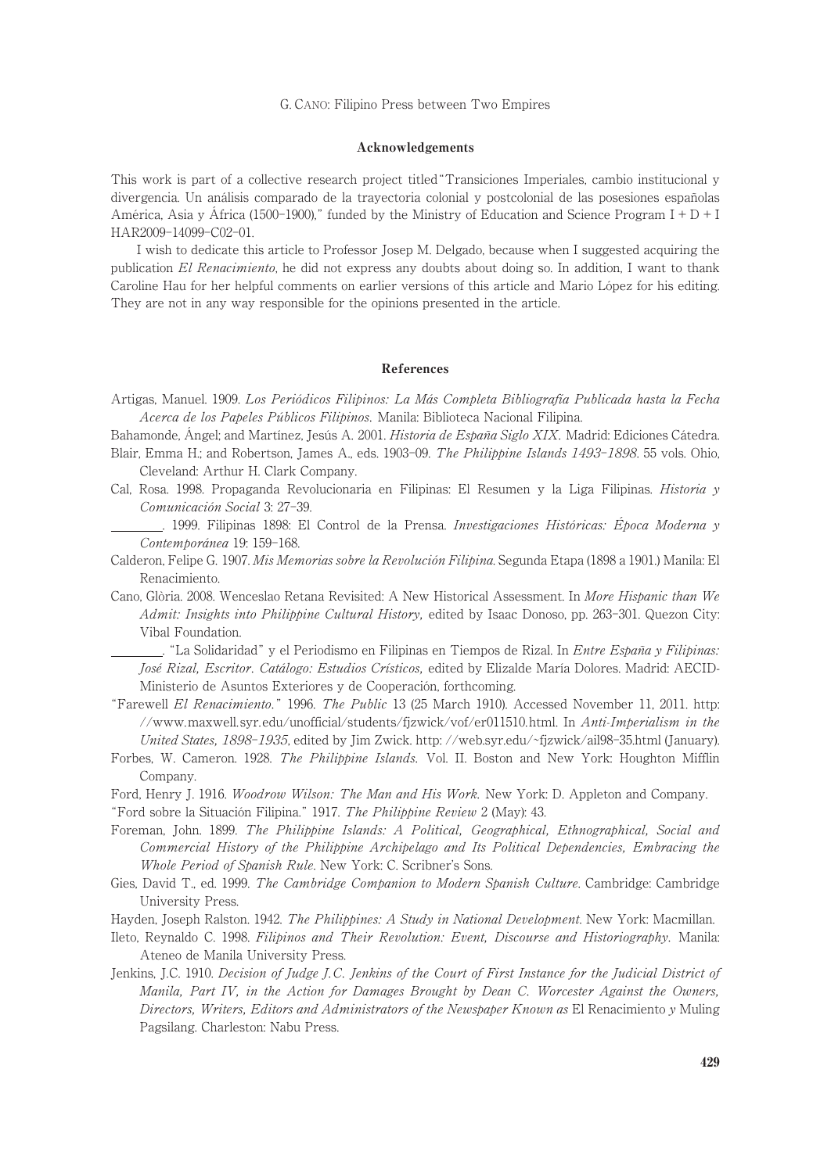#### Acknowledgements

This work is part of a collective research project titled"Transiciones Imperiales, cambio institucional y divergencia. Un análisis comparado de la trayectoria colonial y postcolonial de las posesiones españolas América, Asia y África (1500-1900)," funded by the Ministry of Education and Science Program I +  $D+I$ HAR2009-14099-C02-01.

I wish to dedicate this article to Professor Josep M. Delgado, because when I suggested acquiring the publication El Renacimiento, he did not express any doubts about doing so. In addition, I want to thank Caroline Hau for her helpful comments on earlier versions of this article and Mario López for his editing. They are not in any way responsible for the opinions presented in the article.

#### References

Artigas, Manuel. 1909. Los Periódicos Filipinos: La Más Completa Bibliografía Publicada hasta la Fecha Acerca de los Papeles Públicos Filipinos. Manila: Biblioteca Nacional Filipina.

Bahamonde, Ángel; and Martínez, Jesús A. 2001. Historia de España Siglo XIX. Madrid: Ediciones Cátedra.

- Blair, Emma H.; and Robertson, James A., eds. 1903-09. The Philippine Islands 1493-1898. 55 vols. Ohio, Cleveland: Arthur H. Clark Company.
- Cal, Rosa. 1998. Propaganda Revolucionaria en Filipinas: El Resumen y la Liga Filipinas. Historia y Comunicación Social 3: 27-39.
	- . 1999. Filipinas 1898: El Control de la Prensa. Investigaciones Históricas: Época Moderna y Contemporánea 19: 159-168.
- Calderon, Felipe G. 1907. Mis Memorias sobre la Revolución Filipina. Segunda Etapa (1898 a 1901.) Manila: El Renacimiento.
- Cano, Glòria. 2008. Wenceslao Retana Revisited: A New Historical Assessment. In More Hispanic than We Admit: Insights into Philippine Cultural History, edited by Isaac Donoso, pp. 263-301. Quezon City: Vibal Foundation.

. "La Solidaridad" y el Periodismo en Filipinas en Tiempos de Rizal. In Entre España y Filipinas: José Rizal, Escritor. Catálogo: Estudios Crísticos, edited by Elizalde María Dolores. Madrid: AECID-Ministerio de Asuntos Exteriores y de Cooperación, forthcoming.

- "Farewell El Renacimiento." 1996. The Public 13 (25 March 1910). Accessed November 11, 2011. http: //www.maxwell.syr. edu/unofficial/students/fjzwick/vof/er011510.html. In Anti-Imperialism in the United States, 1898-1935, edited by Jim Zwick. http://web.syr.edu/~fjzwick/ail98-35.html (January).
- Forbes, W. Cameron. 1928. The Philippine Islands. Vol. II. Boston and New York: Houghton Mifflin Company.

Ford, Henry J. 1916. Woodrow Wilson: The Man and His Work. New York: D. Appleton and Company.

"Ford sobre la Situación Filipina." 1917. The Philippine Review 2 (May): 43.

- Foreman, John. 1899. The Philippine Islands: A Political, Geographical, Ethnographical, Social and Commercial History of the Philippine Archipelago and Its Political Dependencies, Embracing the Whole Period of Spanish Rule. New York: C. Scribner's Sons.
- Gies, David T., ed. 1999. The Cambridge Companion to Modern Spanish Culture. Cambridge: Cambridge University Press.
- Hayden, Joseph Ralston. 1942. The Philippines: A Study in National Development. New York: Macmillan.
- Ileto, Reynaldo C. 1998. Filipinos and Their Revolution: Event, Discourse and Historiography. Manila: Ateneo de Manila University Press.
- Jenkins, J.C. 1910. Decision of Judge J.C. Jenkins of the Court of First Instance for the Judicial District of Manila, Part IV, in the Action for Damages Brought by Dean C. Worcester Against the Owners, Directors, Writers, Editors and Administrators of the Newspaper Known as El Renacimiento y Muling Pagsilang. Charleston: Nabu Press.